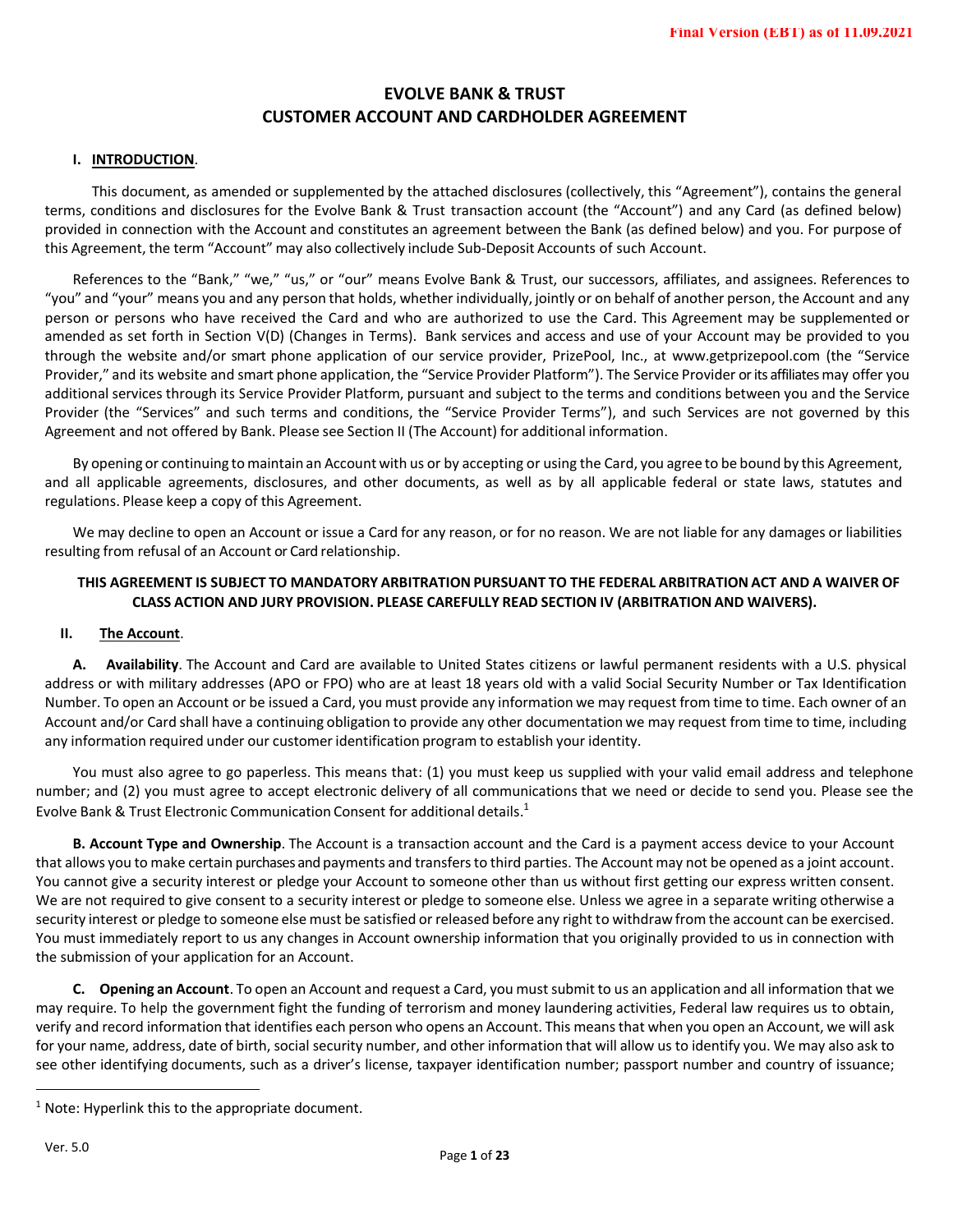#### **I. INTRODUCTION**.

This document, as amended or supplemented by the attached disclosures (collectively, this "Agreement"), contains the general terms, conditions and disclosures for the Evolve Bank & Trust transaction account (the "Account") and any Card (as defined below) provided in connection with the Account and constitutes an agreement between the Bank (as defined below) and you. For purpose of this Agreement, the term "Account" may also collectively include Sub-Deposit Accounts of such Account.

References to the "Bank," "we," "us," or "our" means Evolve Bank & Trust, our successors, affiliates, and assignees. References to "you" and "your" means you and any person that holds, whether individually, jointly or on behalf of another person, the Account and any person or persons who have received the Card and who are authorized to use the Card. This Agreement may be supplemented or amended as set forth in Section V(D) (Changes in Terms). Bank services and access and use of your Account may be provided to you through the website and/or smart phone application of our service provider, PrizePool, Inc., at www.getprizepool.com (the "Service Provider," and its website and smart phone application, the "Service Provider Platform"). The Service Provider or its affiliatesmay offer you additional services through its Service Provider Platform, pursuant and subject to the terms and conditions between you and the Service Provider (the "Services" and such terms and conditions, the "Service Provider Terms"), and such Services are not governed by this Agreement and not offered by Bank. Please see Section II (The Account) for additional information.

By opening or continuing to maintain an Account with us or by accepting or using the Card, you agree to be bound by this Agreement, and all applicable agreements, disclosures, and other documents, as well as by all applicable federal or state laws, statutes and regulations. Please keep a copy of this Agreement.

We may decline to open an Account or issue a Card for any reason, or for no reason. We are not liable for any damages or liabilities resulting from refusal of an Account or Card relationship.

#### **THIS AGREEMENT IS SUBJECT TO MANDATORY ARBITRATIONPURSUANT TO THE FEDERAL ARBITRATION ACT AND A WAIVER OF CLASS ACTION AND JURY PROVISION. PLEASE CAREFULLY READ SECTION IV (ARBITRATIONAND WAIVERS).**

#### **II. The Account**.

**A. Availability**. The Account and Card are available to United States citizens or lawful permanent residents with a U.S. physical address or with military addresses (APO or FPO) who are at least 18 years old with a valid Social Security Number or Tax Identification Number. To open an Account or be issued a Card, you must provide any information we may request from time to time. Each owner of an Account and/or Card shall have a continuing obligation to provide any other documentation we may request from time to time, including any information required under our customer identification program to establish your identity.

You must also agree to go paperless. This means that: (1) you must keep us supplied with your valid email address and telephone number; and (2) you must agree to accept electronic delivery of all communications that we need or decide to send you. Please see the Evolve Bank & Trust Electronic Communication Consent for additional details.<sup>1</sup>

**B. Account Type and Ownership**. The Account is a transaction account and the Card is a payment access device to your Account that allows you to make certain purchases and payments and transfersto third parties. The Account may not be opened as a joint account. You cannot give a security interest or pledge your Account to someone other than us without first getting our express written consent. We are not required to give consent to a security interest or pledge to someone else. Unless we agree in a separate writing otherwise a security interest or pledge to someone else must be satisfied or released before any right to withdraw from the account can be exercised. You must immediately report to us any changes in Account ownership information that you originally provided to us in connection with the submission of your application for an Account.

**C. Opening an Account**. To open an Account and request a Card, you mustsubmit to us an application and all information that we may require. To help the government fight the funding of terrorism and money laundering activities, Federal law requires us to obtain, verify and record information that identifies each person who opens an Account. This meansthat when you open an Account, we will ask for your name, address, date of birth, social security number, and other information that will allow us to identify you. We may also ask to see other identifying documents, such as a driver's license, taxpayer identification number; passport number and country of issuance;

 $1$  Note: Hyperlink this to the appropriate document.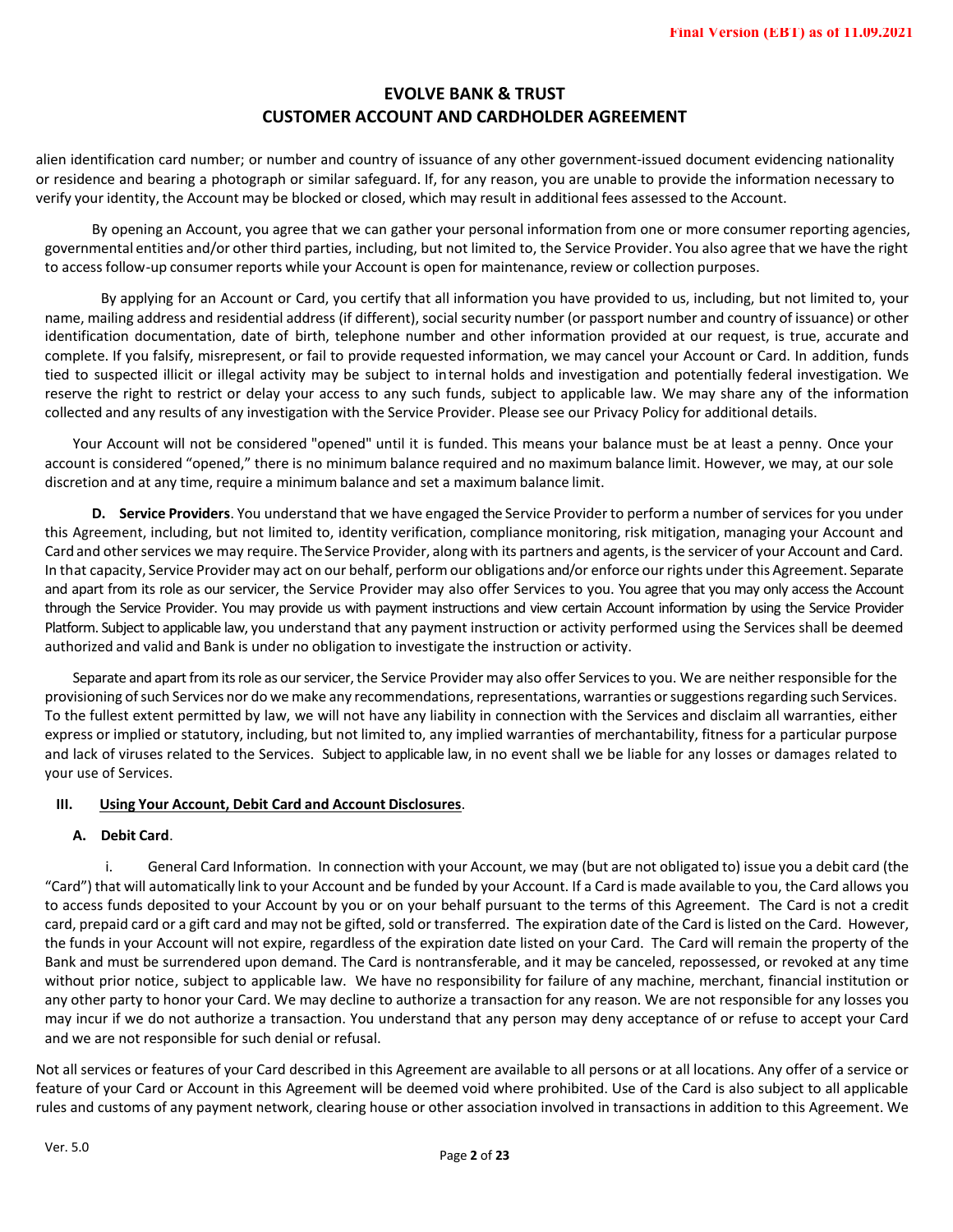alien identification card number; or number and country of issuance of any other government-issued document evidencing nationality or residence and bearing a photograph or similar safeguard. If, for any reason, you are unable to provide the information necessary to verify your identity, the Account may be blocked or closed, which may result in additional fees assessed to the Account.

By opening an Account, you agree that we can gather your personal information from one or more consumer reporting agencies, governmental entities and/or other third parties, including, but not limited to, the Service Provider. You also agree that we have the right to access follow-up consumer reports while your Account is open for maintenance, review or collection purposes.

By applying for an Account or Card, you certify that all information you have provided to us, including, but not limited to, your name, mailing address and residential address (if different), social security number (or passport number and country of issuance) or other identification documentation, date of birth, telephone number and other information provided at our request, is true, accurate and complete. If you falsify, misrepresent, or fail to provide requested information, we may cancel your Account or Card. In addition, funds tied to suspected illicit or illegal activity may be subject to internal holds and investigation and potentially federal investigation. We reserve the right to restrict or delay your access to any such funds, subject to applicable law. We may share any of the information collected and any results of any investigation with the Service Provider. Please see our Privacy Policy for additional details.

Your Account will not be considered "opened" until it is funded. This means your balance must be at least a penny. Once your account is considered "opened," there is no minimum balance required and no maximum balance limit. However, we may, at our sole discretion and at any time, require a minimum balance and set a maximum balance limit.

**D. Service Providers**. You understand that we have engaged the Service Provider to perform a number of services for you under this Agreement, including, but not limited to, identity verification, compliance monitoring, risk mitigation, managing your Account and Card and other services we may require. The Service Provider, along with its partners and agents, is the servicer of your Account and Card. In that capacity, Service Provider may act on our behalf, perform our obligations and/or enforce our rights under this Agreement. Separate and apart from its role as our servicer, the Service Provider may also offer Services to you. You agree that you may only access the Account through the Service Provider. You may provide us with payment instructions and view certain Account information by using the Service Provider Platform. Subject to applicable law, you understand that any payment instruction or activity performed using the Services shall be deemed authorized and valid and Bank is under no obligation to investigate the instruction or activity.

Separate and apart from its role as our servicer, the Service Provider may also offer Services to you. We are neither responsible for the provisioning of such Services nor do we make any recommendations, representations, warranties or suggestions regarding such Services. To the fullest extent permitted by law, we will not have any liability in connection with the Services and disclaim all warranties, either express or implied or statutory, including, but not limited to, any implied warranties of merchantability, fitness for a particular purpose and lack of viruses related to the Services. Subject to applicable law, in no event shall we be liable for any losses or damages related to your use of Services.

### **III. Using Your Account, Debit Card and Account Disclosures**.

### **A. Debit Card**.

i. General Card Information. In connection with your Account, we may (but are not obligated to) issue you a debit card (the "Card") that will automatically link to your Account and be funded by your Account. If a Card is made available to you, the Card allows you to access funds deposited to your Account by you or on your behalf pursuant to the terms of this Agreement. The Card is not a credit card, prepaid card or a gift card and may not be gifted, sold or transferred. The expiration date of the Card is listed on the Card. However, the funds in your Account will not expire, regardless of the expiration date listed on your Card. The Card will remain the property of the Bank and must be surrendered upon demand. The Card is nontransferable, and it may be canceled, repossessed, or revoked at any time without prior notice, subject to applicable law. We have no responsibility for failure of any machine, merchant, financial institution or any other party to honor your Card. We may decline to authorize a transaction for any reason. We are not responsible for any losses you may incur if we do not authorize a transaction. You understand that any person may deny acceptance of or refuse to accept your Card and we are not responsible for such denial or refusal.

Not all services or features of your Card described in this Agreement are available to all persons or at all locations. Any offer of a service or feature of your Card or Account in this Agreement will be deemed void where prohibited. Use of the Card is also subject to all applicable rules and customs of any payment network, clearing house or other association involved in transactions in addition to this Agreement. We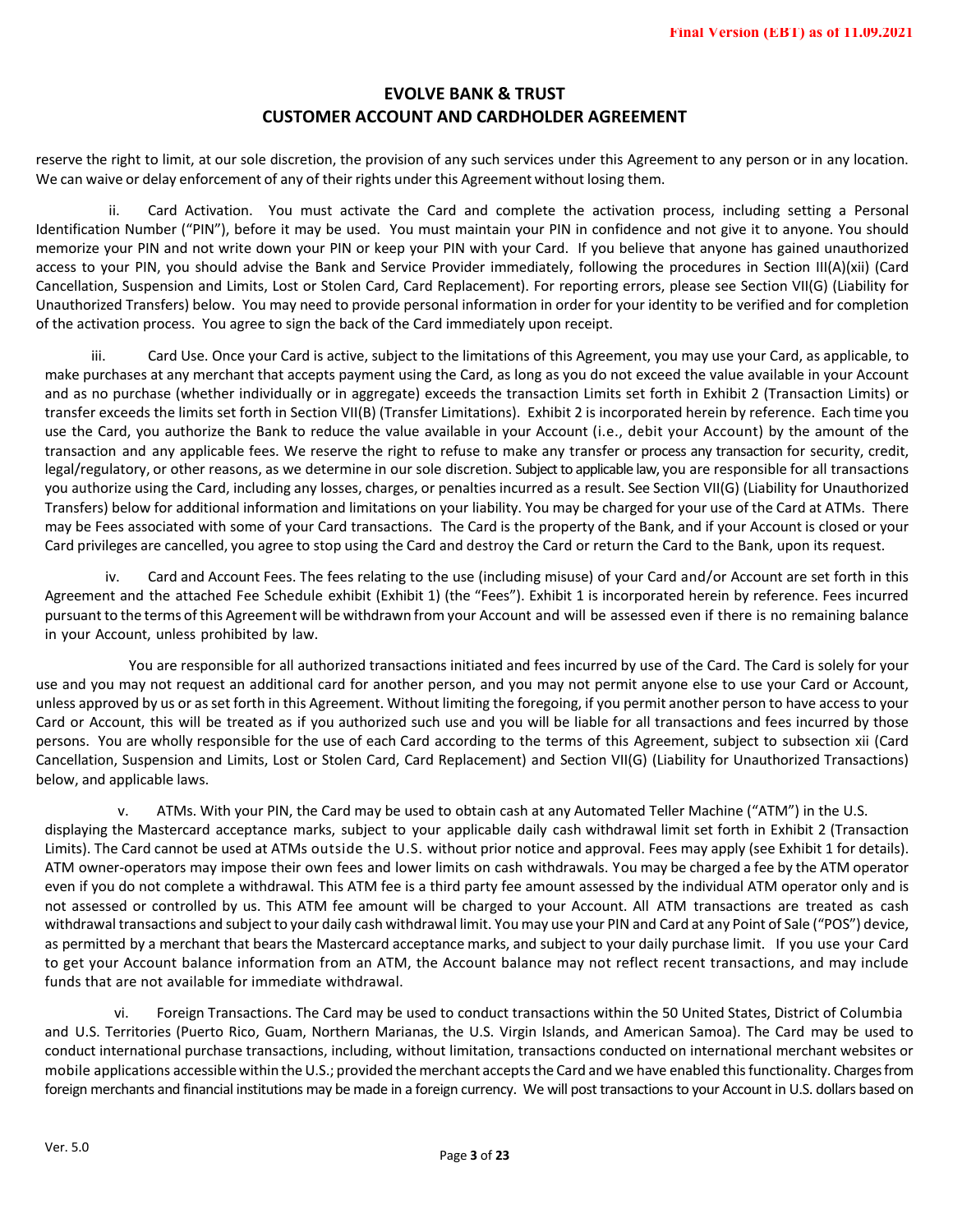reserve the right to limit, at our sole discretion, the provision of any such services under this Agreement to any person or in any location. We can waive or delay enforcement of any of their rights under this Agreement without losing them.

ii. Card Activation. You must activate the Card and complete the activation process, including setting a Personal Identification Number ("PIN"), before it may be used. You must maintain your PIN in confidence and not give it to anyone. You should memorize your PIN and not write down your PIN or keep your PIN with your Card. If you believe that anyone has gained unauthorized access to your PIN, you should advise the Bank and Service Provider immediately, following the procedures in Section III(A)(xii) (Card Cancellation, Suspension and Limits, Lost or Stolen Card, Card Replacement). For reporting errors, please see Section VII(G) (Liability for Unauthorized Transfers) below. You may need to provide personal information in order for your identity to be verified and for completion of the activation process. You agree to sign the back of the Card immediately upon receipt.

iii. Card Use. Once your Card is active, subject to the limitations of this Agreement, you may use your Card, as applicable, to make purchases at any merchant that accepts payment using the Card, as long as you do not exceed the value available in your Account and as no purchase (whether individually or in aggregate) exceeds the transaction Limits set forth in Exhibit 2 (Transaction Limits) or transfer exceeds the limits set forth in Section VII(B) (Transfer Limitations). Exhibit 2 is incorporated herein by reference. Each time you use the Card, you authorize the Bank to reduce the value available in your Account (i.e., debit your Account) by the amount of the transaction and any applicable fees. We reserve the right to refuse to make any transfer or process any transaction for security, credit, legal/regulatory, or other reasons, as we determine in our sole discretion. Subject to applicable law, you are responsible for all transactions you authorize using the Card, including any losses, charges, or penalties incurred as a result. See Section VII(G) (Liability for Unauthorized Transfers) below for additional information and limitations on your liability. You may be charged for your use of the Card at ATMs. There may be Fees associated with some of your Card transactions. The Card is the property of the Bank, and if your Account is closed or your Card privileges are cancelled, you agree to stop using the Card and destroy the Card or return the Card to the Bank, upon its request.

iv. Card and Account Fees. The fees relating to the use (including misuse) of your Card and/or Account are set forth in this Agreement and the attached Fee Schedule exhibit (Exhibit 1) (the "Fees"). Exhibit 1 is incorporated herein by reference. Fees incurred pursuant to the terms of this Agreement will be withdrawn from your Account and will be assessed even if there is no remaining balance in your Account, unless prohibited by law.

You are responsible for all authorized transactions initiated and fees incurred by use of the Card. The Card is solely for your use and you may not request an additional card for another person, and you may not permit anyone else to use your Card or Account, unless approved by us or as set forth in this Agreement. Without limiting the foregoing, if you permit another person to have access to your Card or Account, this will be treated as if you authorized such use and you will be liable for all transactions and fees incurred by those persons. You are wholly responsible for the use of each Card according to the terms of this Agreement, subject to subsection xii (Card Cancellation, Suspension and Limits, Lost or Stolen Card, Card Replacement) and Section VII(G) (Liability for Unauthorized Transactions) below, and applicable laws.

v. ATMs. With your PIN, the Card may be used to obtain cash at any Automated Teller Machine ("ATM") in the U.S. displaying the Mastercard acceptance marks, subject to your applicable daily cash withdrawal limit set forth in Exhibit 2 (Transaction Limits). The Card cannot be used at ATMs outside the U.S. without prior notice and approval. Fees may apply (see Exhibit 1 for details). ATM owner-operators may impose their own fees and lower limits on cash withdrawals. You may be charged a fee by the ATM operator even if you do not complete a withdrawal. This ATM fee is a third party fee amount assessed by the individual ATM operator only and is not assessed or controlled by us. This ATM fee amount will be charged to your Account. All ATM transactions are treated as cash withdrawal transactions and subject to your daily cash withdrawal limit. You may use your PIN and Card at any Point of Sale ("POS") device, as permitted by a merchant that bears the Mastercard acceptance marks, and subject to your daily purchase limit. If you use your Card to get your Account balance information from an ATM, the Account balance may not reflect recent transactions, and may include funds that are not available for immediate withdrawal.

vi. Foreign Transactions. The Card may be used to conduct transactions within the 50 United States, District of Columbia and U.S. Territories (Puerto Rico, Guam, Northern Marianas, the U.S. Virgin Islands, and American Samoa). The Card may be used to conduct international purchase transactions, including, without limitation, transactions conducted on international merchant websites or mobile applications accessible within the U.S.; provided the merchant accepts the Card and we have enabled this functionality. Charges from foreign merchants and financial institutions may be made in a foreign currency. We will post transactions to your Account in U.S. dollars based on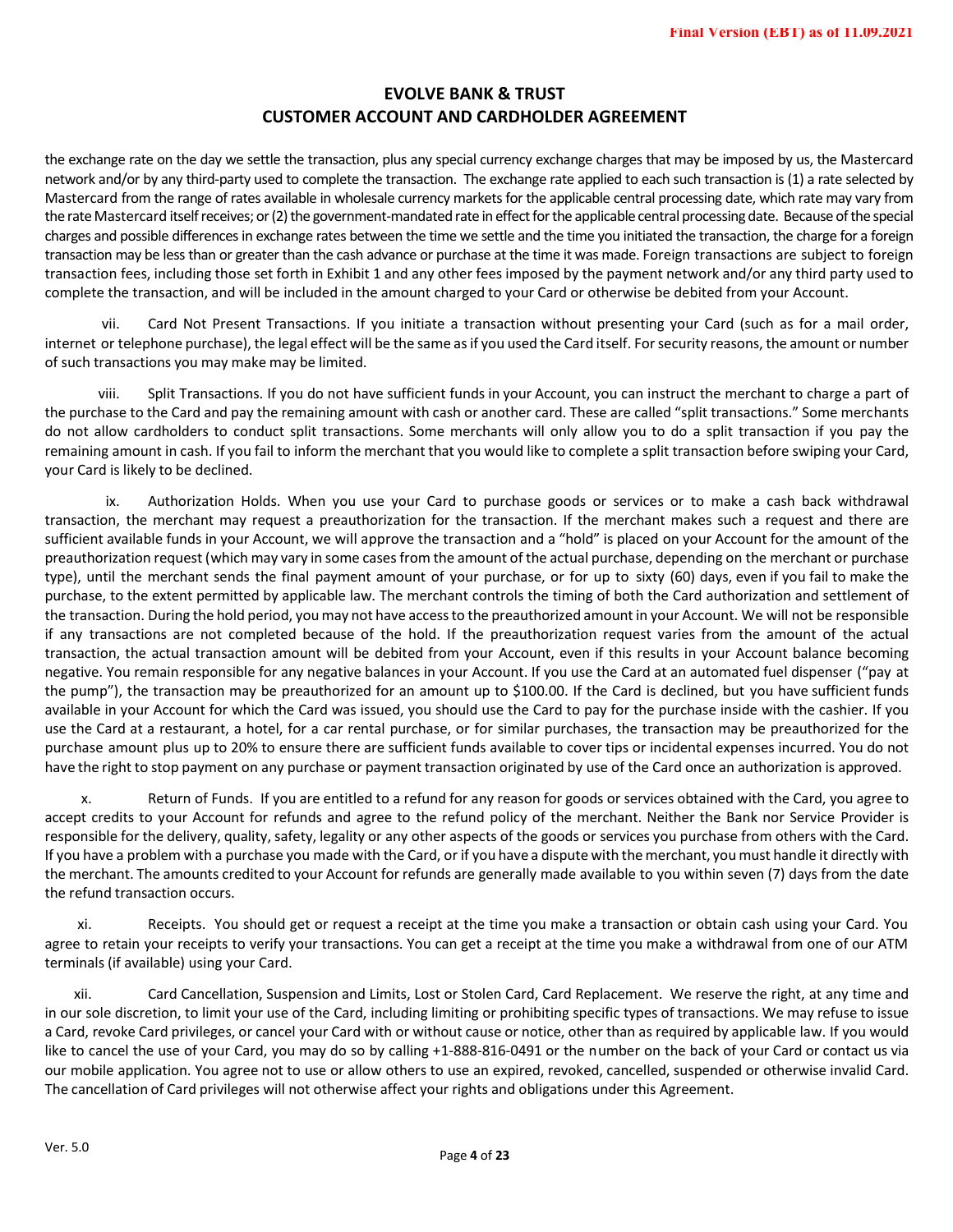the exchange rate on the day we settle the transaction, plus any special currency exchange charges that may be imposed by us, the Mastercard network and/or by any third-party used to complete the transaction. The exchange rate applied to each such transaction is (1) a rate selected by Mastercard from the range of rates available in wholesale currency markets for the applicable central processing date, which rate may vary from the rate Mastercard itself receives; or (2) the government-mandated rate in effect for the applicable central processing date. Because of the special charges and possible differences in exchange rates between the time we settle and the time you initiated the transaction, the charge for a foreign transaction may be less than or greater than the cash advance or purchase at the time it was made. Foreign transactions are subject to foreign transaction fees, including those set forth in Exhibit 1 and any other fees imposed by the payment network and/or any third party used to complete the transaction, and will be included in the amount charged to your Card or otherwise be debited from your Account.

vii. Card Not Present Transactions. If you initiate a transaction without presenting your Card (such as for a mail order, internet or telephone purchase), the legal effect will be the same as if you used the Card itself. For security reasons, the amount or number of such transactions you may make may be limited.

viii. Split Transactions. If you do not have sufficient funds in your Account, you can instruct the merchant to charge a part of the purchase to the Card and pay the remaining amount with cash or another card. These are called "split transactions." Some merchants do not allow cardholders to conduct split transactions. Some merchants will only allow you to do a split transaction if you pay the remaining amount in cash. If you fail to inform the merchant that you would like to complete a split transaction before swiping your Card, your Card is likely to be declined.

ix. Authorization Holds. When you use your Card to purchase goods or services or to make a cash back withdrawal transaction, the merchant may request a preauthorization for the transaction. If the merchant makes such a request and there are sufficient available funds in your Account, we will approve the transaction and a "hold" is placed on your Account for the amount of the preauthorization request (which may vary in some casesfrom the amount of the actual purchase, depending on the merchant or purchase type), until the merchant sends the final payment amount of your purchase, or for up to sixty (60) days, even if you fail to make the purchase, to the extent permitted by applicable law. The merchant controls the timing of both the Card authorization and settlement of the transaction. During the hold period, you may not have accessto the preauthorized amount in your Account. We will not be responsible if any transactions are not completed because of the hold. If the preauthorization request varies from the amount of the actual transaction, the actual transaction amount will be debited from your Account, even if this results in your Account balance becoming negative. You remain responsible for any negative balances in your Account. If you use the Card at an automated fuel dispenser ("pay at the pump"), the transaction may be preauthorized for an amount up to \$100.00. If the Card is declined, but you have sufficient funds available in your Account for which the Card was issued, you should use the Card to pay for the purchase inside with the cashier. If you use the Card at a restaurant, a hotel, for a car rental purchase, or for similar purchases, the transaction may be preauthorized for the purchase amount plus up to 20% to ensure there are sufficient funds available to cover tips or incidental expenses incurred. You do not have the right to stop payment on any purchase or payment transaction originated by use of the Card once an authorization is approved.

x. Return of Funds. If you are entitled to a refund for any reason for goods or services obtained with the Card, you agree to accept credits to your Account for refunds and agree to the refund policy of the merchant. Neither the Bank nor Service Provider is responsible for the delivery, quality, safety, legality or any other aspects of the goods or services you purchase from others with the Card. If you have a problem with a purchase you made with the Card, or if you have a dispute with the merchant, you must handle it directly with the merchant. The amounts credited to your Account for refunds are generally made available to you within seven (7) days from the date the refund transaction occurs.

xi. Receipts. You should get or request a receipt at the time you make a transaction or obtain cash using your Card. You agree to retain your receipts to verify your transactions. You can get a receipt at the time you make a withdrawal from one of our ATM terminals (if available) using your Card.

xii. Card Cancellation, Suspension and Limits, Lost or Stolen Card, Card Replacement. We reserve the right, at any time and in our sole discretion, to limit your use of the Card, including limiting or prohibiting specific types of transactions. We may refuse to issue a Card, revoke Card privileges, or cancel your Card with or without cause or notice, other than as required by applicable law. If you would like to cancel the use of your Card, you may do so by calling +1-888-816-0491 or the number on the back of your Card or contact us via our mobile application. You agree not to use or allow others to use an expired, revoked, cancelled, suspended or otherwise invalid Card. The cancellation of Card privileges will not otherwise affect your rights and obligations under this Agreement.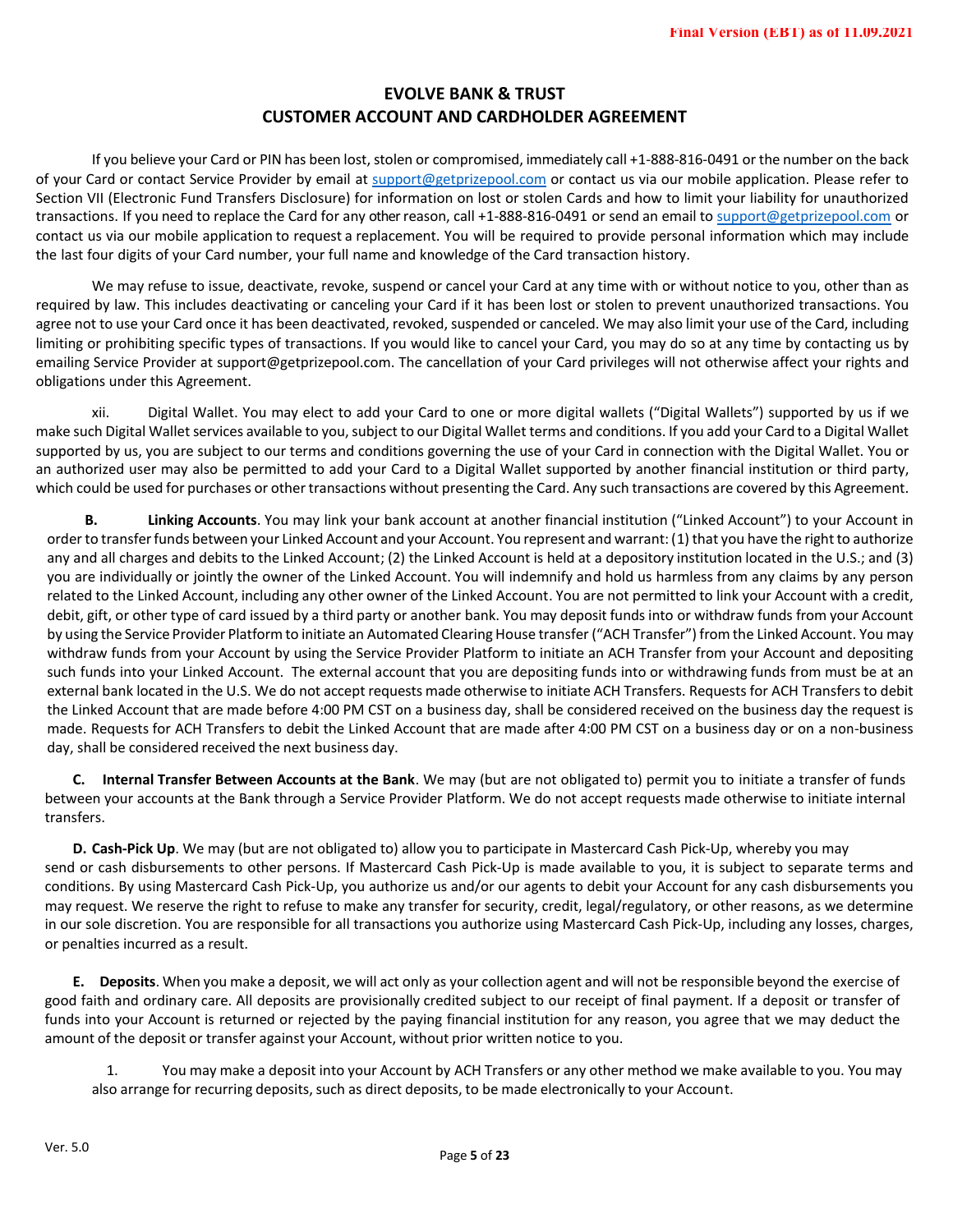If you believe your Card or PIN has been lost, stolen or compromised, immediately call +1-888-816-0491 or the number on the back of your Card or contact Service Provider by email at support@getprizepool.com or contact us via our mobile application. Please refer to Section VII (Electronic Fund Transfers Disclosure) for information on lost or stolen Cards and how to limit your liability for unauthorized transactions. If you need to replace the Card for any other reason, call +1-888-816-0491 or send an email to support@getprizepool.com or contact us via our mobile application to request a replacement. You will be required to provide personal information which may include the last four digits of your Card number, your full name and knowledge of the Card transaction history.

We may refuse to issue, deactivate, revoke, suspend or cancel your Card at any time with or without notice to you, other than as required by law. This includes deactivating or canceling your Card if it has been lost or stolen to prevent unauthorized transactions. You agree not to use your Card once it has been deactivated, revoked, suspended or canceled. We may also limit your use of the Card, including limiting or prohibiting specific types of transactions. If you would like to cancel your Card, you may do so at any time by contacting us by emailing Service Provider at support@getprizepool.com. The cancellation of your Card privileges will not otherwise affect your rights and obligations under this Agreement.

xii. Digital Wallet. You may elect to add your Card to one or more digital wallets ("Digital Wallets") supported by us if we make such Digital Wallet services available to you, subject to our Digital Wallet terms and conditions. If you add your Card to a Digital Wallet supported by us, you are subject to our terms and conditions governing the use of your Card in connection with the Digital Wallet. You or an authorized user may also be permitted to add your Card to a Digital Wallet supported by another financial institution or third party, which could be used for purchases or other transactions without presenting the Card. Any such transactions are covered by this Agreement.

**B. Linking Accounts**. You may link your bank account at another financial institution ("Linked Account") to your Account in order to transferfunds between your Linked Account and your Account. You represent and warrant: (1) that you have the right to authorize any and all charges and debits to the Linked Account; (2) the Linked Account is held at a depository institution located in the U.S.; and (3) you are individually or jointly the owner of the Linked Account. You will indemnify and hold us harmless from any claims by any person related to the Linked Account, including any other owner of the Linked Account. You are not permitted to link your Account with a credit, debit, gift, or other type of card issued by a third party or another bank. You may deposit funds into or withdraw funds from your Account by using the Service Provider Platformto initiate an Automated Clearing House transfer ("ACH Transfer") fromthe Linked Account. You may withdraw funds from your Account by using the Service Provider Platform to initiate an ACH Transfer from your Account and depositing such funds into your Linked Account. The external account that you are depositing funds into or withdrawing funds from must be at an external bank located in the U.S. We do not accept requests made otherwise to initiate ACH Transfers. Requestsfor ACH Transfersto debit the Linked Account that are made before 4:00 PM CST on a business day, shall be considered received on the business day the request is made. Requests for ACH Transfers to debit the Linked Account that are made after 4:00 PM CST on a business day or on a non-business day, shall be considered received the next business day.

**C. Internal Transfer Between Accounts at the Bank**. We may (but are not obligated to) permit you to initiate a transfer of funds between your accounts at the Bank through a Service Provider Platform. We do not accept requests made otherwise to initiate internal transfers.

**D. Cash-Pick Up**. We may (but are not obligated to) allow you to participate in Mastercard Cash Pick-Up, whereby you may send or cash disbursements to other persons. If Mastercard Cash Pick-Up is made available to you, it is subject to separate terms and conditions. By using Mastercard Cash Pick-Up, you authorize us and/or our agents to debit your Account for any cash disbursements you may request. We reserve the right to refuse to make any transfer for security, credit, legal/regulatory, or other reasons, as we determine in our sole discretion. You are responsible for all transactions you authorize using Mastercard Cash Pick-Up, including any losses, charges, or penalties incurred as a result.

**E. Deposits**. When you make a deposit, we will act only as your collection agent and will not be responsible beyond the exercise of good faith and ordinary care. All deposits are provisionally credited subject to our receipt of final payment. If a deposit or transfer of funds into your Account is returned or rejected by the paying financial institution for any reason, you agree that we may deduct the amount of the deposit or transfer against your Account, without prior written notice to you.

1. You may make a deposit into your Account by ACH Transfers or any other method we make available to you. You may also arrange for recurring deposits, such as direct deposits, to be made electronically to your Account.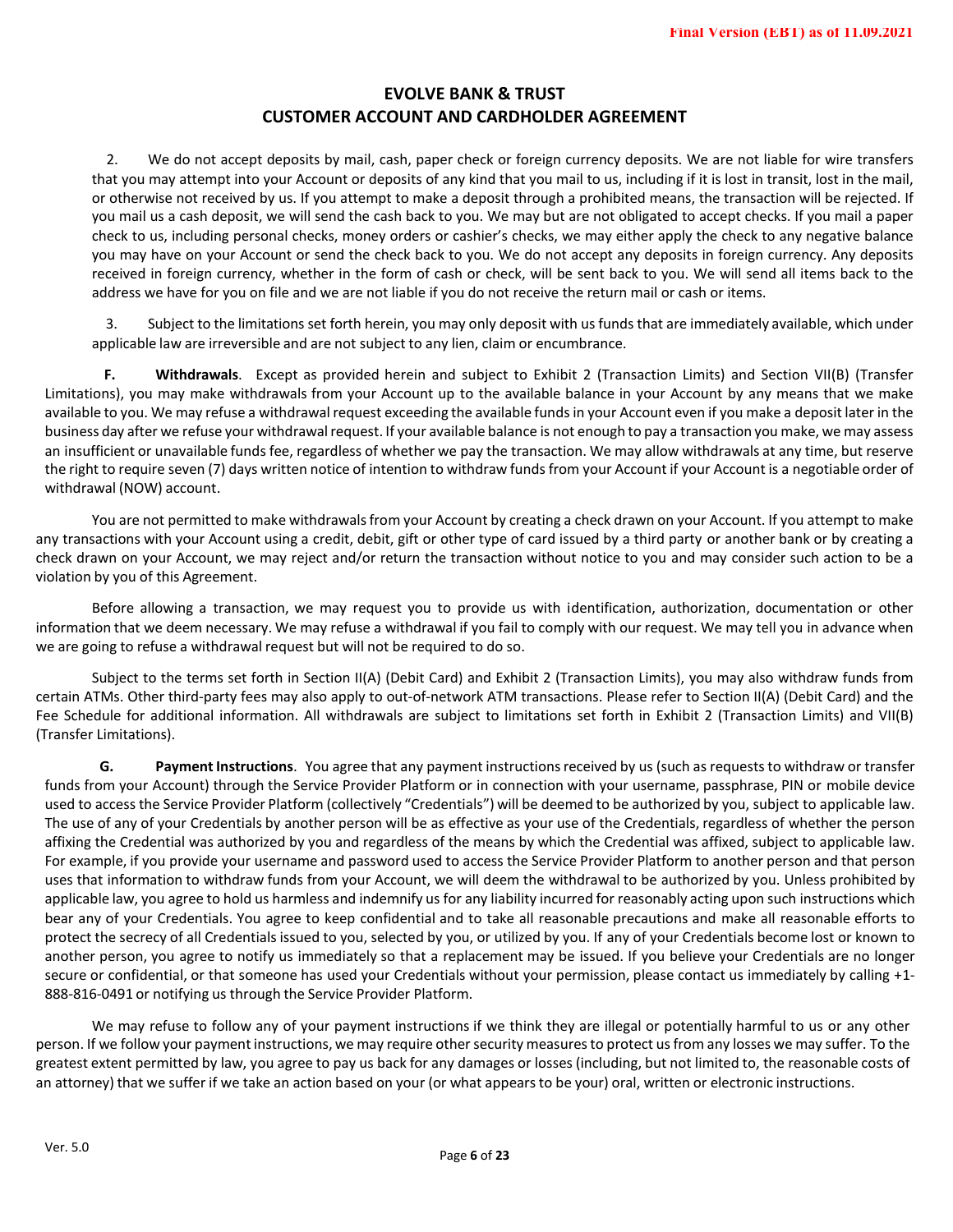2. We do not accept deposits by mail, cash, paper check or foreign currency deposits. We are not liable for wire transfers that you may attempt into your Account or deposits of any kind that you mail to us, including if it is lost in transit, lost in the mail, or otherwise not received by us. If you attempt to make a deposit through a prohibited means, the transaction will be rejected. If you mail us a cash deposit, we will send the cash back to you. We may but are not obligated to accept checks. If you mail a paper check to us, including personal checks, money orders or cashier's checks, we may either apply the check to any negative balance you may have on your Account or send the check back to you. We do not accept any deposits in foreign currency. Any deposits received in foreign currency, whether in the form of cash or check, will be sent back to you. We will send all items back to the address we have for you on file and we are not liable if you do not receive the return mail or cash or items.

3. Subject to the limitations set forth herein, you may only deposit with us funds that are immediately available, which under applicable law are irreversible and are not subject to any lien, claim or encumbrance.

**F. Withdrawals**. Except as provided herein and subject to Exhibit 2 (Transaction Limits) and Section VII(B) (Transfer Limitations), you may make withdrawals from your Account up to the available balance in your Account by any means that we make available to you. We may refuse a withdrawal request exceeding the available funds in your Account even if you make a deposit later in the business day after we refuse your withdrawalrequest. If your available balance is not enough to pay a transaction you make, we may assess an insufficient or unavailable funds fee, regardless of whether we pay the transaction. We may allow withdrawals at any time, but reserve the right to require seven (7) days written notice of intention to withdraw funds from your Account if your Account is a negotiable order of withdrawal (NOW) account.

You are not permitted to make withdrawals from your Account by creating a check drawn on your Account. If you attempt to make any transactions with your Account using a credit, debit, gift or other type of card issued by a third party or another bank or by creating a check drawn on your Account, we may reject and/or return the transaction without notice to you and may consider such action to be a violation by you of this Agreement.

Before allowing a transaction, we may request you to provide us with identification, authorization, documentation or other information that we deem necessary. We may refuse a withdrawal if you fail to comply with our request. We may tell you in advance when we are going to refuse a withdrawal request but will not be required to do so.

Subject to the terms set forth in Section II(A) (Debit Card) and Exhibit 2 (Transaction Limits), you may also withdraw funds from certain ATMs. Other third-party fees may also apply to out-of-network ATM transactions. Please refer to Section II(A) (Debit Card) and the Fee Schedule for additional information. All withdrawals are subject to limitations set forth in Exhibit 2 (Transaction Limits) and VII(B) (Transfer Limitations).

**G. Payment Instructions**. You agree that any payment instructionsreceived by us (such as requeststo withdraw or transfer funds from your Account) through the Service Provider Platform or in connection with your username, passphrase, PIN or mobile device used to access the Service Provider Platform (collectively "Credentials") will be deemed to be authorized by you, subject to applicable law. The use of any of your Credentials by another person will be as effective as your use of the Credentials, regardless of whether the person affixing the Credential was authorized by you and regardless of the means by which the Credential was affixed, subject to applicable law. For example, if you provide your username and password used to access the Service Provider Platform to another person and that person uses that information to withdraw funds from your Account, we will deem the withdrawal to be authorized by you. Unless prohibited by applicable law, you agree to hold us harmless and indemnify us for any liability incurred for reasonably acting upon such instructions which bear any of your Credentials. You agree to keep confidential and to take all reasonable precautions and make all reasonable efforts to protect the secrecy of all Credentialsissued to you, selected by you, or utilized by you. If any of your Credentials become lost or known to another person, you agree to notify us immediately so that a replacement may be issued. If you believe your Credentials are no longer secure or confidential, or that someone has used your Credentials without your permission, please contact us immediately by calling +1- 888-816-0491 or notifying us through the Service Provider Platform.

We may refuse to follow any of your payment instructions if we think they are illegal or potentially harmful to us or any other person. If we follow your payment instructions, we may require other security measures to protect us from any losses we may suffer. To the greatest extent permitted by law, you agree to pay us back for any damages or losses (including, but not limited to, the reasonable costs of an attorney) that we suffer if we take an action based on your (or what appears to be your) oral, written or electronic instructions.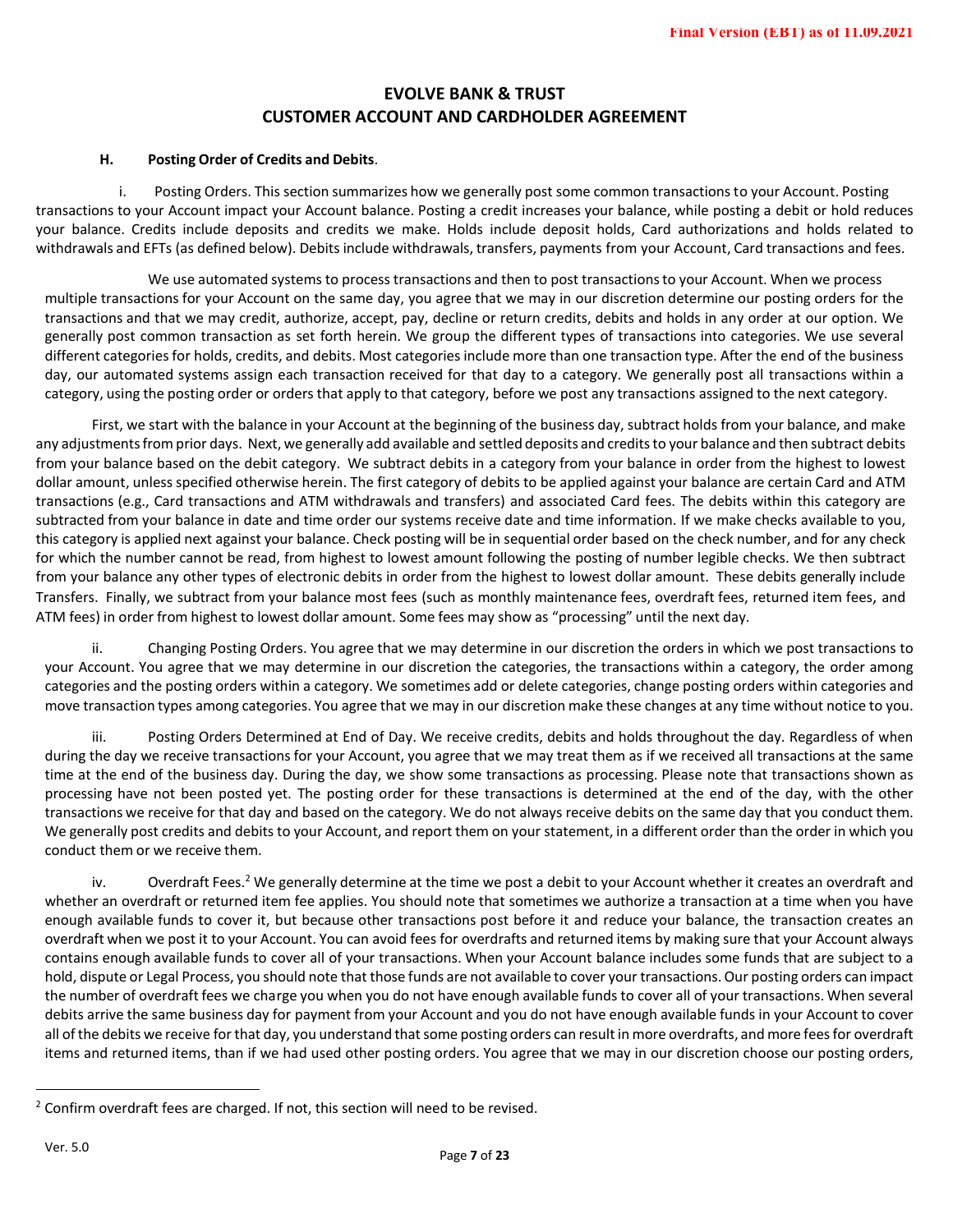### **H. Posting Order of Credits and Debits**.

i. Posting Orders. This section summarizes how we generally post some common transactions to your Account. Posting transactions to your Account impact your Account balance. Posting a credit increases your balance, while posting a debit or hold reduces your balance. Credits include deposits and credits we make. Holds include deposit holds, Card authorizations and holds related to withdrawals and EFTs (as defined below). Debits include withdrawals, transfers, payments from your Account, Card transactions and fees.

We use automated systems to process transactions and then to post transactions to your Account. When we process multiple transactions for your Account on the same day, you agree that we may in our discretion determine our posting orders for the transactions and that we may credit, authorize, accept, pay, decline or return credits, debits and holds in any order at our option. We generally post common transaction as set forth herein. We group the different types of transactions into categories. We use several different categories for holds, credits, and debits. Most categories include more than one transaction type. After the end of the business day, our automated systems assign each transaction received for that day to a category. We generally post all transactions within a category, using the posting order or orders that apply to that category, before we post any transactions assigned to the next category.

First, we start with the balance in your Account at the beginning of the business day, subtract holds from your balance, and make any adjustments from prior days. Next, we generally add available and settled deposits and credits to your balance and then subtract debits from your balance based on the debit category. We subtract debits in a category from your balance in order from the highest to lowest dollar amount, unless specified otherwise herein. The first category of debits to be applied against your balance are certain Card and ATM transactions (e.g., Card transactions and ATM withdrawals and transfers) and associated Card fees. The debits within this category are subtracted from your balance in date and time order our systems receive date and time information. If we make checks available to you, this category is applied next against your balance. Check posting will be in sequential order based on the check number, and for any check for which the number cannot be read, from highest to lowest amount following the posting of number legible checks. We then subtract from your balance any other types of electronic debits in order from the highest to lowest dollar amount. These debits generally include Transfers. Finally, we subtract from your balance most fees (such as monthly maintenance fees, overdraft fees, returned item fees, and ATM fees) in order from highest to lowest dollar amount. Some fees may show as "processing" until the next day.

Changing Posting Orders. You agree that we may determine in our discretion the orders in which we post transactions to your Account. You agree that we may determine in our discretion the categories, the transactions within a category, the order among categories and the posting orders within a category. We sometimes add or delete categories, change posting orders within categories and move transaction types among categories. You agree that we may in our discretion make these changes at any time without notice to you.

iii. Posting Orders Determined at End of Day. We receive credits, debits and holds throughout the day. Regardless of when during the day we receive transactions for your Account, you agree that we may treat them as if we received all transactions at the same time at the end of the business day. During the day, we show some transactions as processing. Please note that transactions shown as processing have not been posted yet. The posting order for these transactions is determined at the end of the day, with the other transactions we receive for that day and based on the category. We do not always receive debits on the same day that you conduct them. We generally post credits and debits to your Account, and report them on your statement, in a different order than the order in which you conduct them or we receive them.

iv. Overdraft Fees.<sup>2</sup> We generally determine at the time we post a debit to your Account whether it creates an overdraft and whether an overdraft or returned item fee applies. You should note that sometimes we authorize a transaction at a time when you have enough available funds to cover it, but because other transactions post before it and reduce your balance, the transaction creates an overdraft when we post it to your Account. You can avoid fees for overdrafts and returned items by making sure that your Account always contains enough available funds to cover all of your transactions. When your Account balance includes some funds that are subject to a hold, dispute or Legal Process, you should note that those funds are not available to cover your transactions. Our posting orders can impact the number of overdraft fees we charge you when you do not have enough available funds to cover all of your transactions. When several debits arrive the same business day for payment from your Account and you do not have enough available funds in your Account to cover all of the debits we receive for that day, you understand that some posting orders can result in more overdrafts, and more fees for overdraft items and returned items, than if we had used other posting orders. You agree that we may in our discretion choose our posting orders,

 $2$  Confirm overdraft fees are charged. If not, this section will need to be revised.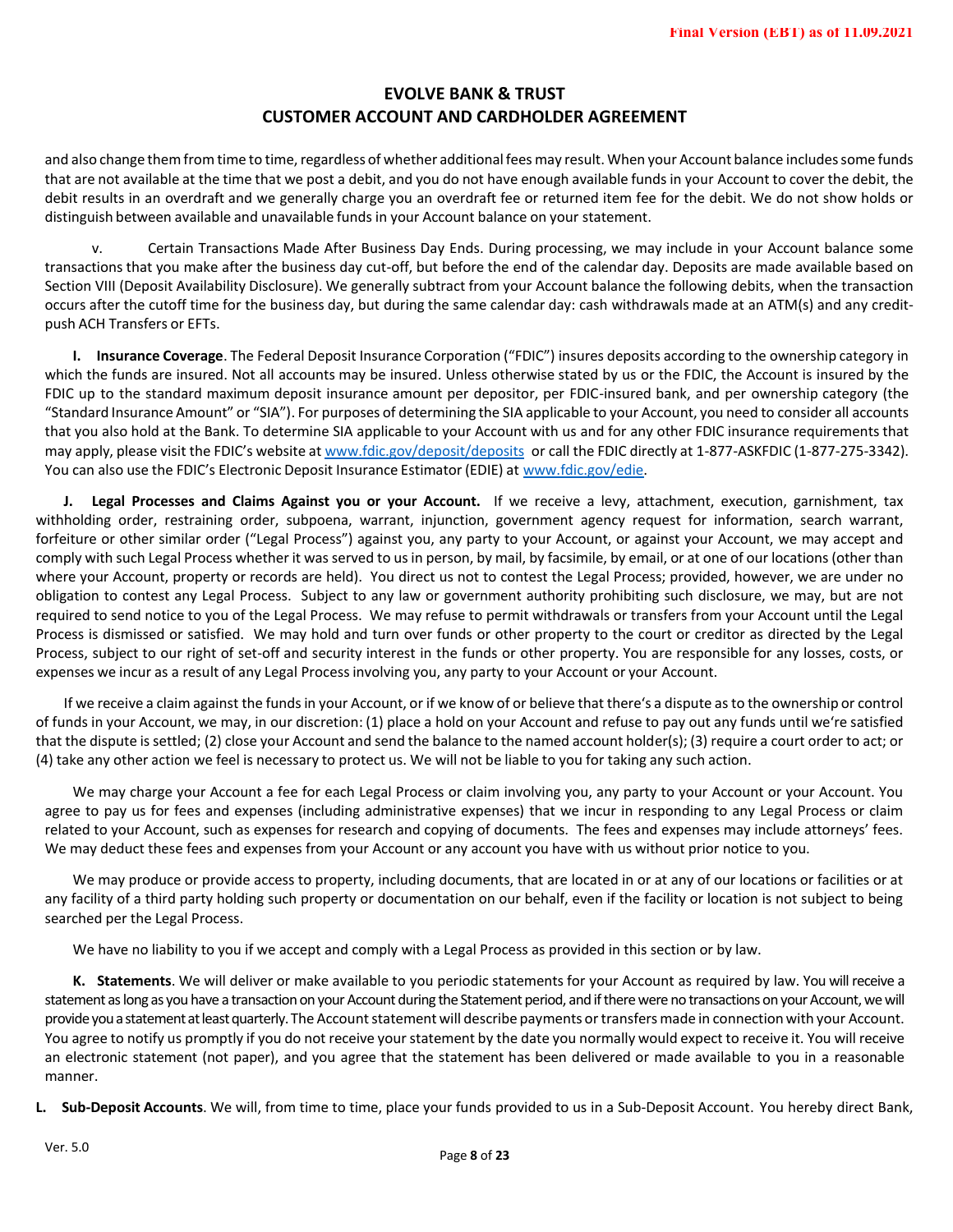and also change them from time to time, regardless of whether additional fees may result. When your Account balance includes some funds that are not available at the time that we post a debit, and you do not have enough available funds in your Account to cover the debit, the debit results in an overdraft and we generally charge you an overdraft fee or returned item fee for the debit. We do not show holds or distinguish between available and unavailable funds in your Account balance on your statement.

v. Certain Transactions Made After Business Day Ends. During processing, we may include in your Account balance some transactions that you make after the business day cut-off, but before the end of the calendar day. Deposits are made available based on Section VIII (Deposit Availability Disclosure). We generally subtract from your Account balance the following debits, when the transaction occurs after the cutoff time for the business day, but during the same calendar day: cash withdrawals made at an ATM(s) and any creditpush ACH Transfers or EFTs.

**I. Insurance Coverage**. The Federal Deposit Insurance Corporation ("FDIC") insures deposits according to the ownership category in which the funds are insured. Not all accounts may be insured. Unless otherwise stated by us or the FDIC, the Account is insured by the FDIC up to the standard maximum deposit insurance amount per depositor, per FDIC-insured bank, and per ownership category (the "Standard Insurance Amount" or "SIA"). For purposes of determining the SIA applicable to your Account, you need to consider all accounts that you also hold at the Bank. To determine SIA applicable to your Account with us and for any other FDIC insurance requirements that may apply, please visit the FDIC's website at www.fdic.gov/deposit/deposits or call the FDIC directly at 1-877-ASKFDIC (1-877-275-3342). You can also use the FDIC's Electronic Deposit Insurance Estimator (EDIE) at www.fdic.gov/edie.

**J. Legal Processes and Claims Against you or your Account.** If we receive a levy, attachment, execution, garnishment, tax withholding order, restraining order, subpoena, warrant, injunction, government agency request for information, search warrant, forfeiture or other similar order ("Legal Process") against you, any party to your Account, or against your Account, we may accept and comply with such Legal Process whether it was served to us in person, by mail, by facsimile, by email, or at one of our locations (other than where your Account, property or records are held). You direct us not to contest the Legal Process; provided, however, we are under no obligation to contest any Legal Process. Subject to any law or government authority prohibiting such disclosure, we may, but are not required to send notice to you of the Legal Process. We may refuse to permit withdrawals or transfers from your Account until the Legal Process is dismissed or satisfied. We may hold and turn over funds or other property to the court or creditor as directed by the Legal Process, subject to our right of set-off and security interest in the funds or other property. You are responsible for any losses, costs, or expenses we incur as a result of any Legal Process involving you, any party to your Account or your Account.

If we receive a claim against the funds in your Account, or if we know of or believe that there's a dispute as to the ownership or control of funds in your Account, we may, in our discretion: (1) place a hold on your Account and refuse to pay out any funds until we're satisfied that the dispute is settled; (2) close your Account and send the balance to the named account holder(s); (3) require a court order to act; or (4) take any other action we feel is necessary to protect us. We will not be liable to you for taking any such action.

We may charge your Account a fee for each Legal Process or claim involving you, any party to your Account or your Account. You agree to pay us for fees and expenses (including administrative expenses) that we incur in responding to any Legal Process or claim related to your Account, such as expenses for research and copying of documents. The fees and expenses may include attorneys' fees. We may deduct these fees and expenses from your Account or any account you have with us without prior notice to you.

We may produce or provide access to property, including documents, that are located in or at any of our locations or facilities or at any facility of a third party holding such property or documentation on our behalf, even if the facility or location is not subject to being searched per the Legal Process.

We have no liability to you if we accept and comply with a Legal Process as provided in this section or by law.

**K. Statements**. We will deliver or make available to you periodic statements for your Account as required by law. You will receive a statement as long as you have a transaction on your Account during the Statement period, and if there were no transactions on your Account, we will provide you a statement at least quarterly. The Account statement will describe payments or transfers made in connection with your Account. You agree to notify us promptly if you do not receive your statement by the date you normally would expect to receive it. You will receive an electronic statement (not paper), and you agree that the statement has been delivered or made available to you in a reasonable manner.

**L. Sub-Deposit Accounts**. We will, from time to time, place your funds provided to us in a Sub-Deposit Account. You hereby direct Bank,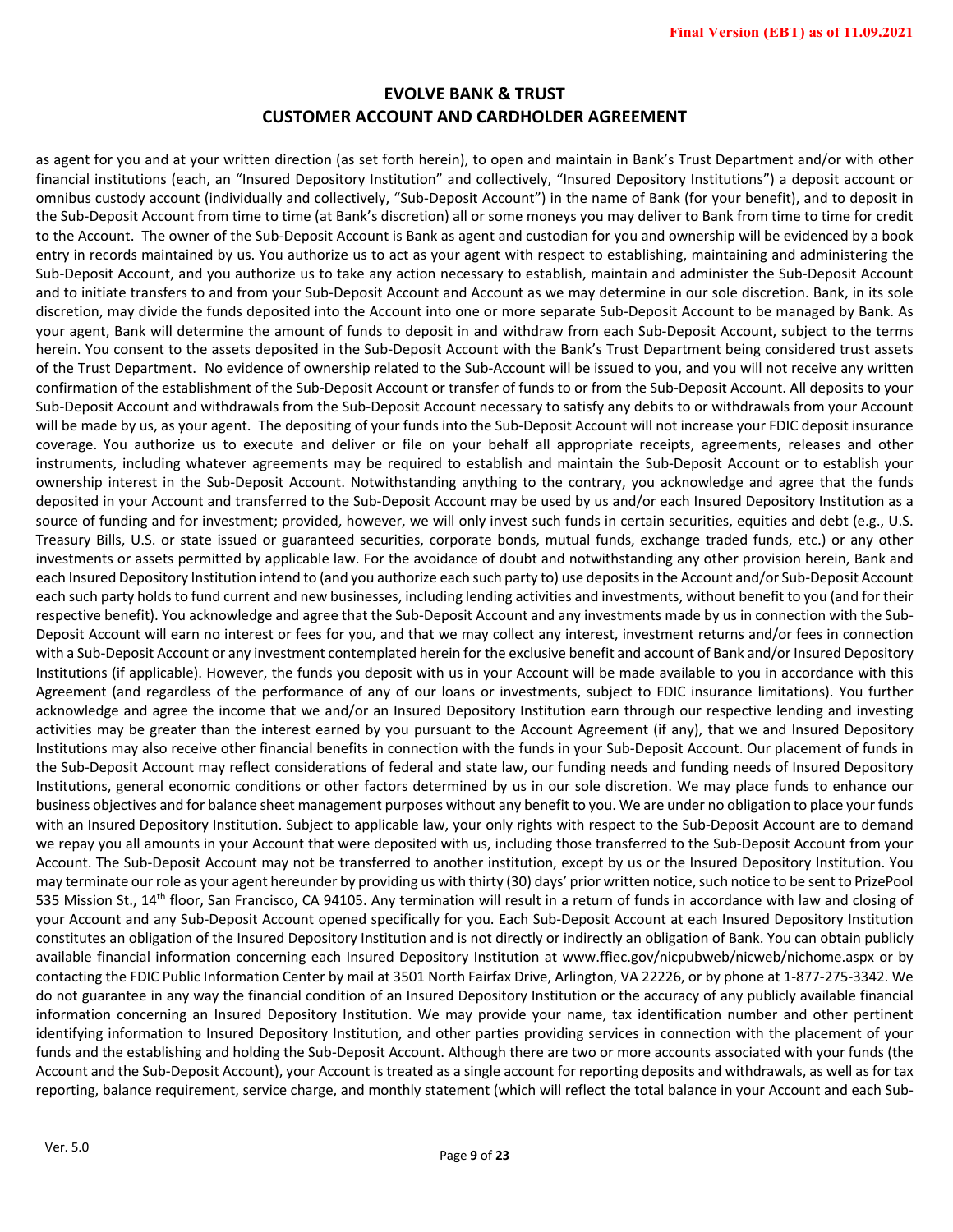as agent for you and at your written direction (as set forth herein), to open and maintain in Bank's Trust Department and/or with other financial institutions (each, an "Insured Depository Institution" and collectively, "Insured Depository Institutions") a deposit account or omnibus custody account (individually and collectively, "Sub-Deposit Account") in the name of Bank (for your benefit), and to deposit in the Sub-Deposit Account from time to time (at Bank's discretion) all or some moneys you may deliver to Bank from time to time for credit to the Account. The owner of the Sub-Deposit Account is Bank as agent and custodian for you and ownership will be evidenced by a book entry in records maintained by us. You authorize us to act as your agent with respect to establishing, maintaining and administering the Sub-Deposit Account, and you authorize us to take any action necessary to establish, maintain and administer the Sub-Deposit Account and to initiate transfers to and from your Sub-Deposit Account and Account as we may determine in our sole discretion. Bank, in its sole discretion, may divide the funds deposited into the Account into one or more separate Sub-Deposit Account to be managed by Bank. As your agent, Bank will determine the amount of funds to deposit in and withdraw from each Sub-Deposit Account, subject to the terms herein. You consent to the assets deposited in the Sub-Deposit Account with the Bank's Trust Department being considered trust assets of the Trust Department. No evidence of ownership related to the Sub-Account will be issued to you, and you will not receive any written confirmation of the establishment of the Sub-Deposit Account or transfer of funds to or from the Sub-Deposit Account. All deposits to your Sub-Deposit Account and withdrawals from the Sub-Deposit Account necessary to satisfy any debits to or withdrawals from your Account will be made by us, as your agent. The depositing of your funds into the Sub-Deposit Account will not increase your FDIC deposit insurance coverage. You authorize us to execute and deliver or file on your behalf all appropriate receipts, agreements, releases and other instruments, including whatever agreements may be required to establish and maintain the Sub-Deposit Account or to establish your ownership interest in the Sub-Deposit Account. Notwithstanding anything to the contrary, you acknowledge and agree that the funds deposited in your Account and transferred to the Sub-Deposit Account may be used by us and/or each Insured Depository Institution as a source of funding and for investment; provided, however, we will only invest such funds in certain securities, equities and debt (e.g., U.S. Treasury Bills, U.S. or state issued or guaranteed securities, corporate bonds, mutual funds, exchange traded funds, etc.) or any other investments or assets permitted by applicable law. For the avoidance of doubt and notwithstanding any other provision herein, Bank and each Insured Depository Institution intend to (and you authorize each such party to) use deposits in the Account and/or Sub-Deposit Account each such party holds to fund current and new businesses, including lending activities and investments, without benefit to you (and for their respective benefit). You acknowledge and agree that the Sub-Deposit Account and any investments made by us in connection with the Sub-Deposit Account will earn no interest or fees for you, and that we may collect any interest, investment returns and/or fees in connection with a Sub-Deposit Account or any investment contemplated herein for the exclusive benefit and account of Bank and/or Insured Depository Institutions (if applicable). However, the funds you deposit with us in your Account will be made available to you in accordance with this Agreement (and regardless of the performance of any of our loans or investments, subject to FDIC insurance limitations). You further acknowledge and agree the income that we and/or an Insured Depository Institution earn through our respective lending and investing activities may be greater than the interest earned by you pursuant to the Account Agreement (if any), that we and Insured Depository Institutions may also receive other financial benefits in connection with the funds in your Sub-Deposit Account. Our placement of funds in the Sub-Deposit Account may reflect considerations of federal and state law, our funding needs and funding needs of Insured Depository Institutions, general economic conditions or other factors determined by us in our sole discretion. We may place funds to enhance our business objectives and for balance sheet management purposes without any benefit to you. We are under no obligation to place your funds with an Insured Depository Institution. Subject to applicable law, your only rights with respect to the Sub-Deposit Account are to demand we repay you all amounts in your Account that were deposited with us, including those transferred to the Sub-Deposit Account from your Account. The Sub-Deposit Account may not be transferred to another institution, except by us or the Insured Depository Institution. You may terminate our role as your agent hereunder by providing us with thirty (30) days' prior written notice, such notice to be sent to PrizePool 535 Mission St., 14<sup>th</sup> floor, San Francisco, CA 94105. Any termination will result in a return of funds in accordance with law and closing of your Account and any Sub-Deposit Account opened specifically for you. Each Sub-Deposit Account at each Insured Depository Institution constitutes an obligation of the Insured Depository Institution and is not directly or indirectly an obligation of Bank. You can obtain publicly available financial information concerning each Insured Depository Institution at www.ffiec.gov/nicpubweb/nicweb/nichome.aspx or by contacting the FDIC Public Information Center by mail at 3501 North Fairfax Drive, Arlington, VA 22226, or by phone at 1-877-275-3342. We do not guarantee in any way the financial condition of an Insured Depository Institution or the accuracy of any publicly available financial information concerning an Insured Depository Institution. We may provide your name, tax identification number and other pertinent identifying information to Insured Depository Institution, and other parties providing services in connection with the placement of your funds and the establishing and holding the Sub-Deposit Account. Although there are two or more accounts associated with your funds (the Account and the Sub-Deposit Account), your Account is treated as a single account for reporting deposits and withdrawals, as well as for tax reporting, balance requirement, service charge, and monthly statement (which will reflect the total balance in your Account and each Sub-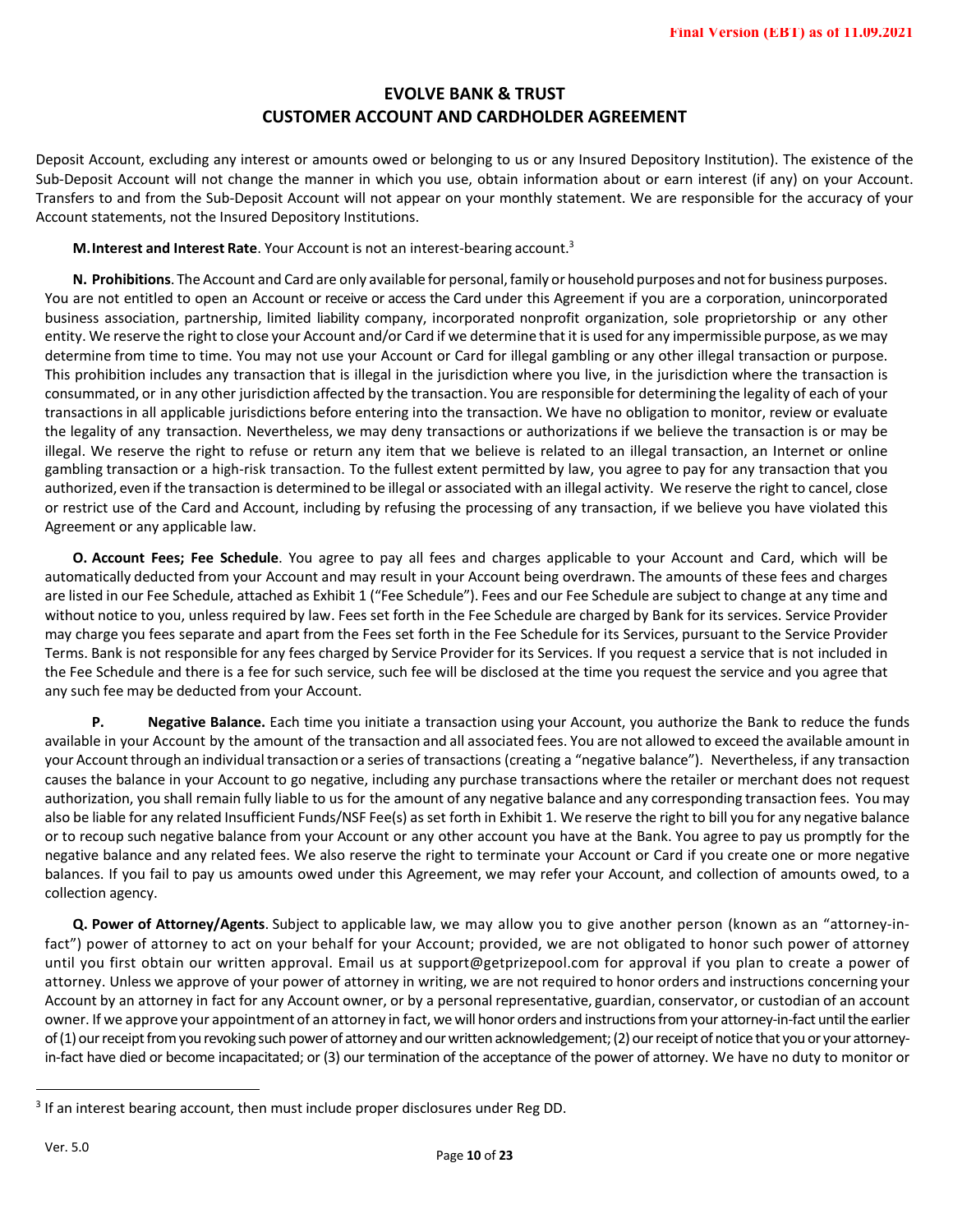Deposit Account, excluding any interest or amounts owed or belonging to us or any Insured Depository Institution). The existence of the Sub-Deposit Account will not change the manner in which you use, obtain information about or earn interest (if any) on your Account. Transfers to and from the Sub-Deposit Account will not appear on your monthly statement. We are responsible for the accuracy of your Account statements, not the Insured Depository Institutions.

**M.Interest and Interest Rate**. Your Account is not an interest-bearing account.3

**N. Prohibitions**. The Account and Card are only available for personal, family or household purposes and not for business purposes. You are not entitled to open an Account or receive or access the Card under this Agreement if you are a corporation, unincorporated business association, partnership, limited liability company, incorporated nonprofit organization, sole proprietorship or any other entity. We reserve the right to close your Account and/or Card if we determine that it is used for any impermissible purpose, as we may determine from time to time. You may not use your Account or Card for illegal gambling or any other illegal transaction or purpose. This prohibition includes any transaction that is illegal in the jurisdiction where you live, in the jurisdiction where the transaction is consummated, or in any other jurisdiction affected by the transaction. You are responsible for determining the legality of each of your transactions in all applicable jurisdictions before entering into the transaction. We have no obligation to monitor, review or evaluate the legality of any transaction. Nevertheless, we may deny transactions or authorizations if we believe the transaction is or may be illegal. We reserve the right to refuse or return any item that we believe is related to an illegal transaction, an Internet or online gambling transaction or a high-risk transaction. To the fullest extent permitted by law, you agree to pay for any transaction that you authorized, even if the transaction is determined to be illegal or associated with an illegal activity. We reserve the right to cancel, close or restrict use of the Card and Account, including by refusing the processing of any transaction, if we believe you have violated this Agreement or any applicable law.

**O. Account Fees; Fee Schedule**. You agree to pay all fees and charges applicable to your Account and Card, which will be automatically deducted from your Account and may result in your Account being overdrawn. The amounts of these fees and charges are listed in our Fee Schedule, attached as Exhibit 1 ("Fee Schedule"). Fees and our Fee Schedule are subject to change at any time and without notice to you, unless required by law. Fees set forth in the Fee Schedule are charged by Bank for its services. Service Provider may charge you fees separate and apart from the Fees set forth in the Fee Schedule for its Services, pursuant to the Service Provider Terms. Bank is not responsible for any fees charged by Service Provider for its Services. If you request a service that is not included in the Fee Schedule and there is a fee for such service, such fee will be disclosed at the time you request the service and you agree that any such fee may be deducted from your Account.

**P. Negative Balance.** Each time you initiate a transaction using your Account, you authorize the Bank to reduce the funds available in your Account by the amount of the transaction and all associated fees. You are not allowed to exceed the available amount in your Account through an individual transaction or a series of transactions (creating a "negative balance"). Nevertheless, if any transaction causes the balance in your Account to go negative, including any purchase transactions where the retailer or merchant does not request authorization, you shall remain fully liable to us for the amount of any negative balance and any corresponding transaction fees. You may also be liable for any related Insufficient Funds/NSF Fee(s) as set forth in Exhibit 1. We reserve the right to bill you for any negative balance or to recoup such negative balance from your Account or any other account you have at the Bank. You agree to pay us promptly for the negative balance and any related fees. We also reserve the right to terminate your Account or Card if you create one or more negative balances. If you fail to pay us amounts owed under this Agreement, we may refer your Account, and collection of amounts owed, to a collection agency.

**Q. Power of Attorney/Agents**. Subject to applicable law, we may allow you to give another person (known as an "attorney-infact") power of attorney to act on your behalf for your Account; provided, we are not obligated to honor such power of attorney until you first obtain our written approval. Email us at support@getprizepool.com for approval if you plan to create a power of attorney. Unless we approve of your power of attorney in writing, we are not required to honor orders and instructions concerning your Account by an attorney in fact for any Account owner, or by a personal representative, guardian, conservator, or custodian of an account owner. If we approve your appointment of an attorney in fact, we will honor orders and instructions from your attorney-in-fact until the earlier of (1) our receipt from you revoking such power of attorney and our written acknowledgement; (2) our receipt of notice that you or your attorneyin-fact have died or become incapacitated; or (3) our termination of the acceptance of the power of attorney. We have no duty to monitor or

<sup>&</sup>lt;sup>3</sup> If an interest bearing account, then must include proper disclosures under Reg DD.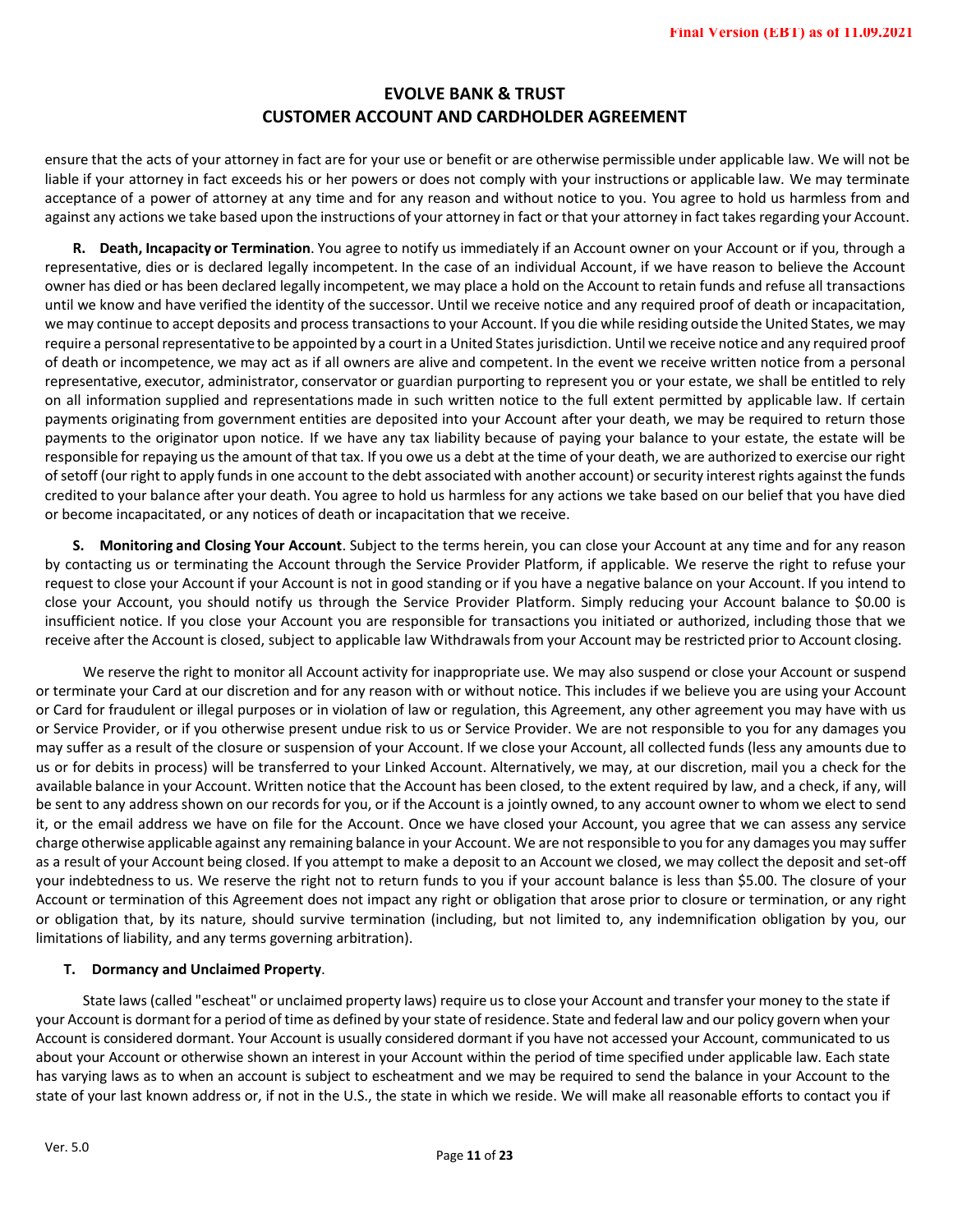ensure that the acts of your attorney in fact are for your use or benefit or are otherwise permissible under applicable law. We will not be liable if your attorney in fact exceeds his or her powers or does not comply with your instructions or applicable law. We may terminate acceptance of a power of attorney at any time and for any reason and without notice to you. You agree to hold us harmless from and against any actions we take based upon the instructions of your attorney in fact or that your attorney in fact takes regarding your Account.

**R. Death, Incapacity or Termination**. You agree to notify us immediately if an Account owner on your Account or if you, through a representative, dies or is declared legally incompetent. In the case of an individual Account, if we have reason to believe the Account owner has died or has been declared legally incompetent, we may place a hold on the Account to retain funds and refuse all transactions until we know and have verified the identity of the successor. Until we receive notice and any required proof of death or incapacitation, we may continue to accept deposits and process transactions to your Account. If you die while residing outside the United States, we may require a personal representative to be appointed by a court in a United States jurisdiction. Until we receive notice and any required proof of death or incompetence, we may act as if all owners are alive and competent. In the event we receive written notice from a personal representative, executor, administrator, conservator or guardian purporting to represent you or your estate, we shall be entitled to rely on all information supplied and representations made in such written notice to the full extent permitted by applicable law. If certain payments originating from government entities are deposited into your Account after your death, we may be required to return those payments to the originator upon notice. If we have any tax liability because of paying your balance to your estate, the estate will be responsible for repaying us the amount of that tax. If you owe us a debt at the time of your death, we are authorized to exercise our right of setoff (our right to apply funds in one account to the debt associated with another account) or security interest rights against the funds credited to your balance after your death. You agree to hold us harmless for any actions we take based on our belief that you have died or become incapacitated, or any notices of death or incapacitation that we receive.

**S. Monitoring and Closing Your Account**. Subject to the terms herein, you can close your Account at any time and for any reason by contacting us or terminating the Account through the Service Provider Platform, if applicable. We reserve the right to refuse your request to close your Account if your Account is not in good standing or if you have a negative balance on your Account. If you intend to close your Account, you should notify us through the Service Provider Platform. Simply reducing your Account balance to \$0.00 is insufficient notice. If you close your Account you are responsible for transactions you initiated or authorized, including those that we receive after the Account is closed, subject to applicable law Withdrawals from your Account may be restricted prior to Account closing.

We reserve the right to monitor all Account activity for inappropriate use. We may also suspend or close your Account or suspend or terminate your Card at our discretion and for any reason with or without notice. This includes if we believe you are using your Account or Card for fraudulent or illegal purposes or in violation of law or regulation, this Agreement, any other agreement you may have with us or Service Provider, or if you otherwise present undue risk to us or Service Provider. We are not responsible to you for any damages you may suffer as a result of the closure or suspension of your Account. If we close your Account, all collected funds (less any amounts due to us or for debits in process) will be transferred to your Linked Account. Alternatively, we may, at our discretion, mail you a check for the available balance in your Account. Written notice that the Account has been closed, to the extent required by law, and a check, if any, will be sent to any address shown on our records for you, or if the Account is a jointly owned, to any account owner to whom we elect to send it, or the email address we have on file for the Account. Once we have closed your Account, you agree that we can assess any service charge otherwise applicable against any remaining balance in your Account. We are not responsible to you for any damages you may suffer as a result of your Account being closed. If you attempt to make a deposit to an Account we closed, we may collect the deposit and set-off your indebtedness to us. We reserve the right not to return funds to you if your account balance is less than \$5.00. The closure of your Account or termination of this Agreement does not impact any right or obligation that arose prior to closure or termination, or any right or obligation that, by its nature, should survive termination (including, but not limited to, any indemnification obligation by you, our limitations of liability, and any terms governing arbitration).

#### **T. Dormancy and Unclaimed Property**.

State laws (called "escheat" or unclaimed property laws) require us to close your Account and transfer your money to the state if your Account is dormant for a period of time as defined by your state of residence. State and federal law and our policy govern when your Account is considered dormant. Your Account is usually considered dormant if you have not accessed your Account, communicated to us about your Account or otherwise shown an interest in your Account within the period of time specified under applicable law. Each state has varying laws as to when an account is subject to escheatment and we may be required to send the balance in your Account to the state of your last known address or, if not in the U.S., the state in which we reside. We will make all reasonable efforts to contact you if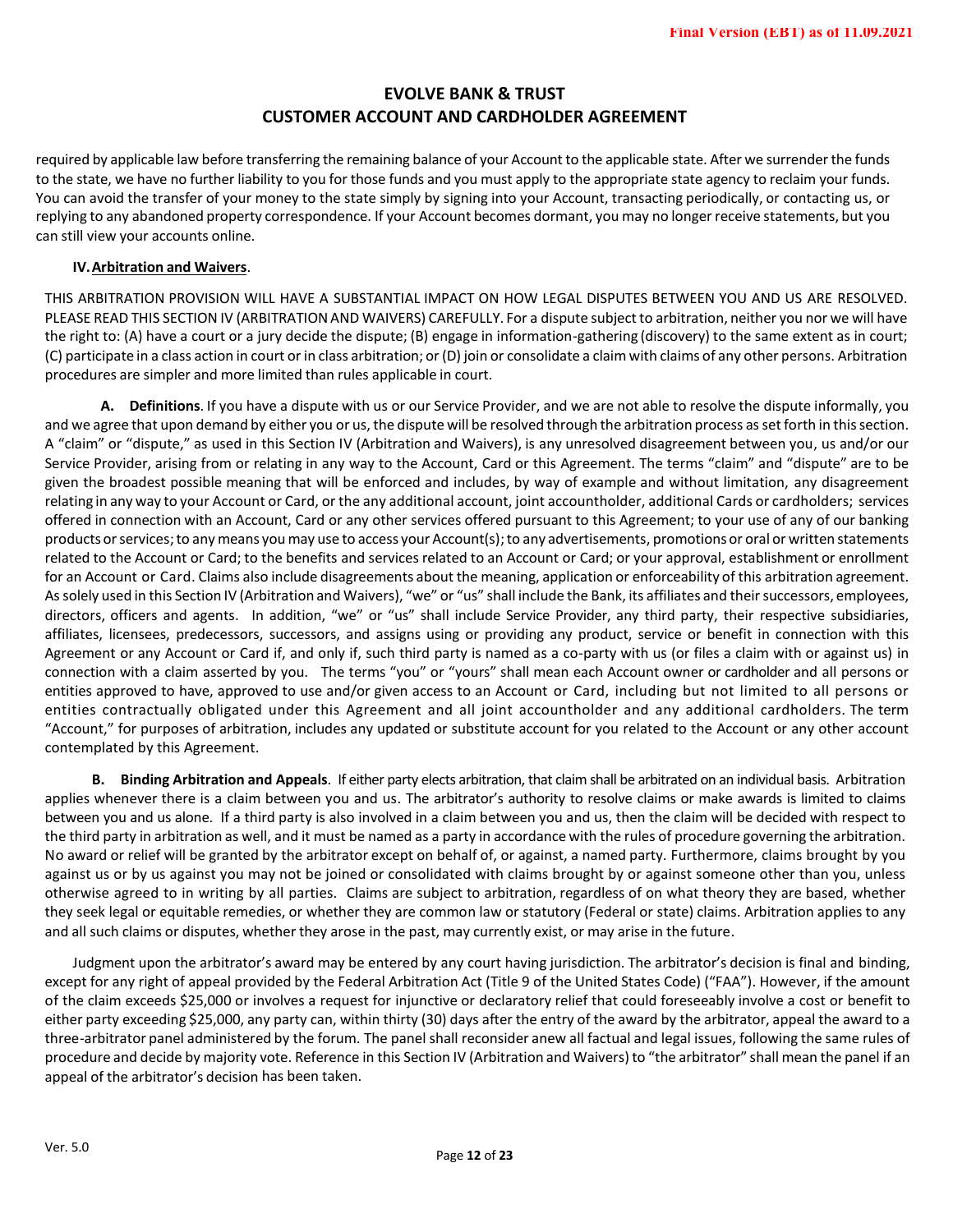required by applicable law before transferring the remaining balance of your Account to the applicable state. After we surrender the funds to the state, we have no further liability to you for those funds and you must apply to the appropriate state agency to reclaim your funds. You can avoid the transfer of your money to the state simply by signing into your Account, transacting periodically, or contacting us, or replying to any abandoned property correspondence. If your Account becomes dormant, you may no longer receive statements, but you can still view your accounts online.

#### **IV.Arbitration and Waivers**.

THIS ARBITRATION PROVISION WILL HAVE A SUBSTANTIAL IMPACT ON HOW LEGAL DISPUTES BETWEEN YOU AND US ARE RESOLVED. PLEASE READ THIS SECTION IV (ARBITRATIONAND WAIVERS) CAREFULLY. For a dispute subject to arbitration, neither you nor we will have the right to: (A) have a court or a jury decide the dispute; (B) engage in information-gathering (discovery) to the same extent as in court; (C) participate in a class action in court or in class arbitration; or (D) join or consolidate a claim with claims of any other persons. Arbitration procedures are simpler and more limited than rules applicable in court.

**A. Definitions**. If you have a dispute with us or our Service Provider, and we are not able to resolve the dispute informally, you and we agree that upon demand by either you or us, the dispute will be resolved through the arbitration process as set forth in this section. A "claim" or "dispute," as used in this Section IV (Arbitration and Waivers), is any unresolved disagreement between you, us and/or our Service Provider, arising from or relating in any way to the Account, Card or this Agreement. The terms "claim" and "dispute" are to be given the broadest possible meaning that will be enforced and includes, by way of example and without limitation, any disagreement relating in any way to your Account or Card, or the any additional account, joint accountholder, additional Cards or cardholders; services offered in connection with an Account, Card or any other services offered pursuant to this Agreement; to your use of any of our banking products or services; to any means you may use to access your Account(s); to any advertisements, promotions or oral or written statements related to the Account or Card; to the benefits and services related to an Account or Card; or your approval, establishment or enrollment for an Account or Card. Claims also include disagreements about the meaning, application or enforceability of this arbitration agreement. As solely used in this Section IV (Arbitration and Waivers), "we" or "us" shall include the Bank, its affiliates and their successors, employees, directors, officers and agents. In addition, "we" or "us" shall include Service Provider, any third party, their respective subsidiaries, affiliates, licensees, predecessors, successors, and assigns using or providing any product, service or benefit in connection with this Agreement or any Account or Card if, and only if, such third party is named as a co-party with us (or files a claim with or against us) in connection with a claim asserted by you. The terms "you" or "yours" shall mean each Account owner or cardholder and all persons or entities approved to have, approved to use and/or given access to an Account or Card, including but not limited to all persons or entities contractually obligated under this Agreement and all joint accountholder and any additional cardholders. The term "Account," for purposes of arbitration, includes any updated or substitute account for you related to the Account or any other account contemplated by this Agreement.

**B. Binding Arbitration and Appeals**. If either party elects arbitration, that claim shall be arbitrated on an individual basis. Arbitration applies whenever there is a claim between you and us. The arbitrator's authority to resolve claims or make awards is limited to claims between you and us alone. If a third party is also involved in a claim between you and us, then the claim will be decided with respect to the third party in arbitration as well, and it must be named as a party in accordance with the rules of procedure governing the arbitration. No award or relief will be granted by the arbitrator except on behalf of, or against, a named party. Furthermore, claims brought by you against us or by us against you may not be joined or consolidated with claims brought by or against someone other than you, unless otherwise agreed to in writing by all parties. Claims are subject to arbitration, regardless of on what theory they are based, whether they seek legal or equitable remedies, or whether they are common law or statutory (Federal or state) claims. Arbitration applies to any and all such claims or disputes, whether they arose in the past, may currently exist, or may arise in the future.

Judgment upon the arbitrator's award may be entered by any court having jurisdiction. The arbitrator's decision is final and binding, except for any right of appeal provided by the Federal Arbitration Act (Title 9 of the United States Code) ("FAA"). However, if the amount of the claim exceeds \$25,000 or involves a request for injunctive or declaratory relief that could foreseeably involve a cost or benefit to either party exceeding \$25,000, any party can, within thirty (30) days after the entry of the award by the arbitrator, appeal the award to a three-arbitrator panel administered by the forum. The panel shall reconsider anew all factual and legal issues, following the same rules of procedure and decide by majority vote. Reference in this Section IV (Arbitration and Waivers) to "the arbitrator" shall mean the panel if an appeal of the arbitrator's decision has been taken.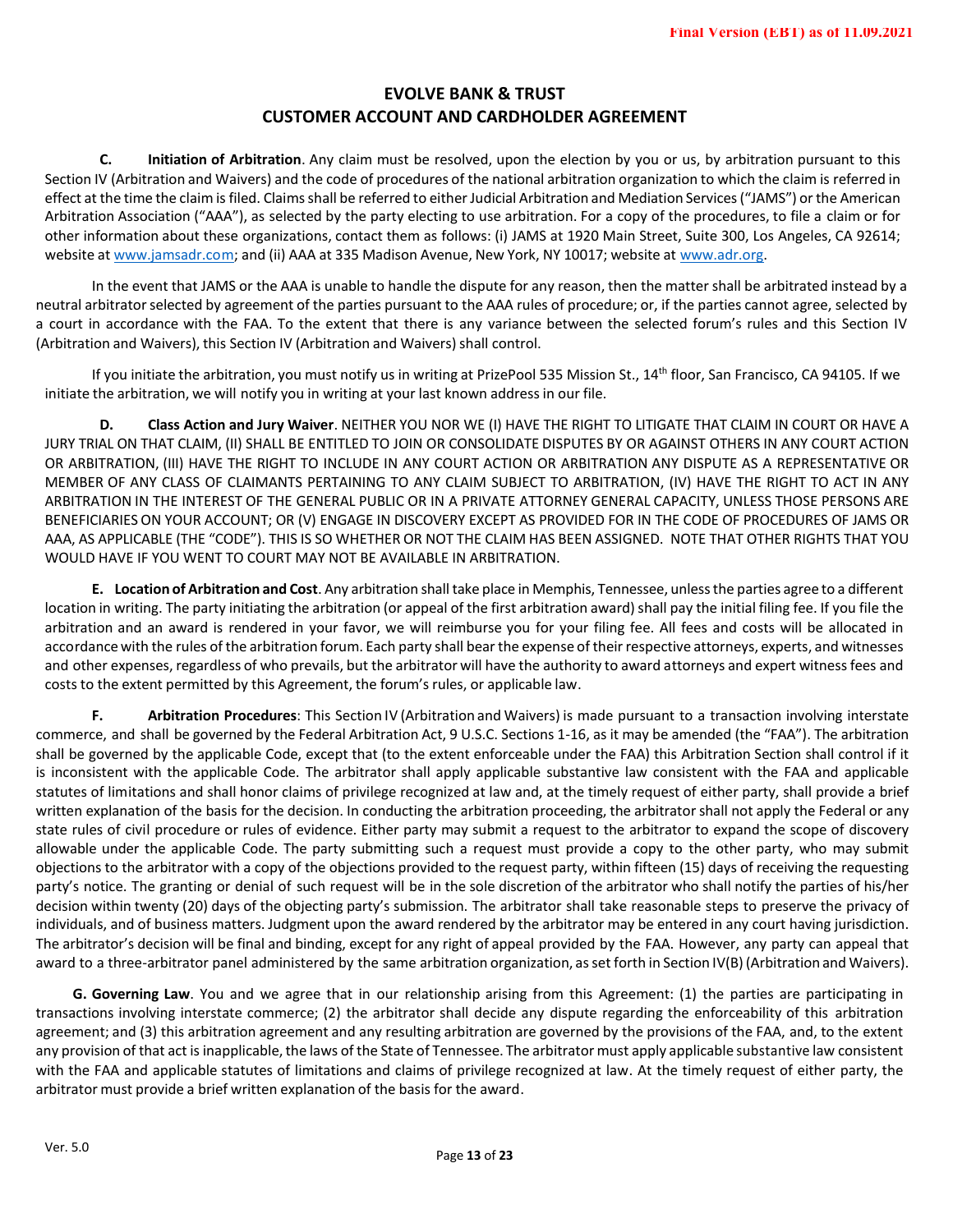**C. Initiation of Arbitration**. Any claim must be resolved, upon the election by you or us, by arbitration pursuant to this Section IV (Arbitration and Waivers) and the code of procedures of the national arbitration organization to which the claim is referred in effect at the time the claim is filed. Claims shall be referred to either Judicial Arbitration and Mediation Services ("JAMS") or the American Arbitration Association ("AAA"), as selected by the party electing to use arbitration. For a copy of the procedures, to file a claim or for other information about these organizations, contact them as follows: (i) JAMS at 1920 Main Street, Suite 300, Los Angeles, CA 92614; website at www.jamsadr.com; and (ii) AAA at 335 Madison Avenue, New York, NY 10017; website at www.adr.org.

In the event that JAMS or the AAA is unable to handle the dispute for any reason, then the matter shall be arbitrated instead by a neutral arbitratorselected by agreement of the parties pursuant to the AAA rules of procedure; or, if the parties cannot agree, selected by a court in accordance with the FAA. To the extent that there is any variance between the selected forum's rules and this Section IV (Arbitration and Waivers), this Section IV (Arbitration and Waivers) shall control.

If you initiate the arbitration, you must notify us in writing at PrizePool 535 Mission St., 14<sup>th</sup> floor, San Francisco, CA 94105. If we initiate the arbitration, we will notify you in writing at your last known address in our file.

**D. Class Action and Jury Waiver**. NEITHER YOU NOR WE (I) HAVE THE RIGHT TO LITIGATE THAT CLAIM IN COURT OR HAVE A JURY TRIAL ON THAT CLAIM, (II) SHALL BE ENTITLED TO JOIN OR CONSOLIDATE DISPUTES BY OR AGAINST OTHERS IN ANY COURT ACTION OR ARBITRATION, (III) HAVE THE RIGHT TO INCLUDE IN ANY COURT ACTION OR ARBITRATION ANY DISPUTE AS A REPRESENTATIVE OR MEMBER OF ANY CLASS OF CLAIMANTS PERTAINING TO ANY CLAIM SUBJECT TO ARBITRATION, (IV) HAVE THE RIGHT TO ACT IN ANY ARBITRATION IN THE INTEREST OF THE GENERAL PUBLIC OR IN A PRIVATE ATTORNEY GENERAL CAPACITY, UNLESS THOSE PERSONS ARE BENEFICIARIES ON YOUR ACCOUNT; OR (V) ENGAGE IN DISCOVERY EXCEPT AS PROVIDED FOR IN THE CODE OF PROCEDURES OF JAMS OR AAA, AS APPLICABLE (THE "CODE"). THIS IS SO WHETHER OR NOT THE CLAIM HAS BEEN ASSIGNED. NOTE THAT OTHER RIGHTS THAT YOU WOULD HAVE IF YOU WENT TO COURT MAY NOT BE AVAILABLE IN ARBITRATION.

**E. Location of Arbitration and Cost**. Any arbitration shall take place in Memphis, Tennessee, unlessthe parties agree to a different location in writing. The party initiating the arbitration (or appeal of the first arbitration award) shall pay the initial filing fee. If you file the arbitration and an award is rendered in your favor, we will reimburse you for your filing fee. All fees and costs will be allocated in accordance with the rules of the arbitration forum. Each party shall bear the expense of their respective attorneys, experts, and witnesses and other expenses, regardless of who prevails, but the arbitrator will have the authority to award attorneys and expert witness fees and costs to the extent permitted by this Agreement, the forum's rules, or applicable law.

**F. Arbitration Procedures**: This Section IV (Arbitration and Waivers) is made pursuant to a transaction involving interstate commerce, and shall be governed by the Federal Arbitration Act, 9 U.S.C. Sections 1-16, as it may be amended (the "FAA"). The arbitration shall be governed by the applicable Code, except that (to the extent enforceable under the FAA) this Arbitration Section shall control if it is inconsistent with the applicable Code. The arbitrator shall apply applicable substantive law consistent with the FAA and applicable statutes of limitations and shall honor claims of privilege recognized at law and, at the timely request of either party, shall provide a brief written explanation of the basis for the decision. In conducting the arbitration proceeding, the arbitratorshall not apply the Federal or any state rules of civil procedure or rules of evidence. Either party may submit a request to the arbitrator to expand the scope of discovery allowable under the applicable Code. The party submitting such a request must provide a copy to the other party, who may submit objections to the arbitrator with a copy of the objections provided to the request party, within fifteen (15) days of receiving the requesting party's notice. The granting or denial of such request will be in the sole discretion of the arbitrator who shall notify the parties of his/her decision within twenty (20) days of the objecting party's submission. The arbitrator shall take reasonable steps to preserve the privacy of individuals, and of business matters. Judgment upon the award rendered by the arbitrator may be entered in any court having jurisdiction. The arbitrator's decision will be final and binding, except for any right of appeal provided by the FAA. However, any party can appeal that award to a three-arbitrator panel administered by the same arbitration organization, as set forth in Section IV(B) (Arbitration and Waivers).

**G. Governing Law**. You and we agree that in our relationship arising from this Agreement: (1) the parties are participating in transactions involving interstate commerce; (2) the arbitrator shall decide any dispute regarding the enforceability of this arbitration agreement; and (3) this arbitration agreement and any resulting arbitration are governed by the provisions of the FAA, and, to the extent any provision of that act is inapplicable, the laws of the State of Tennessee. The arbitrator must apply applicable substantive law consistent with the FAA and applicable statutes of limitations and claims of privilege recognized at law. At the timely request of either party, the arbitrator must provide a brief written explanation of the basis for the award.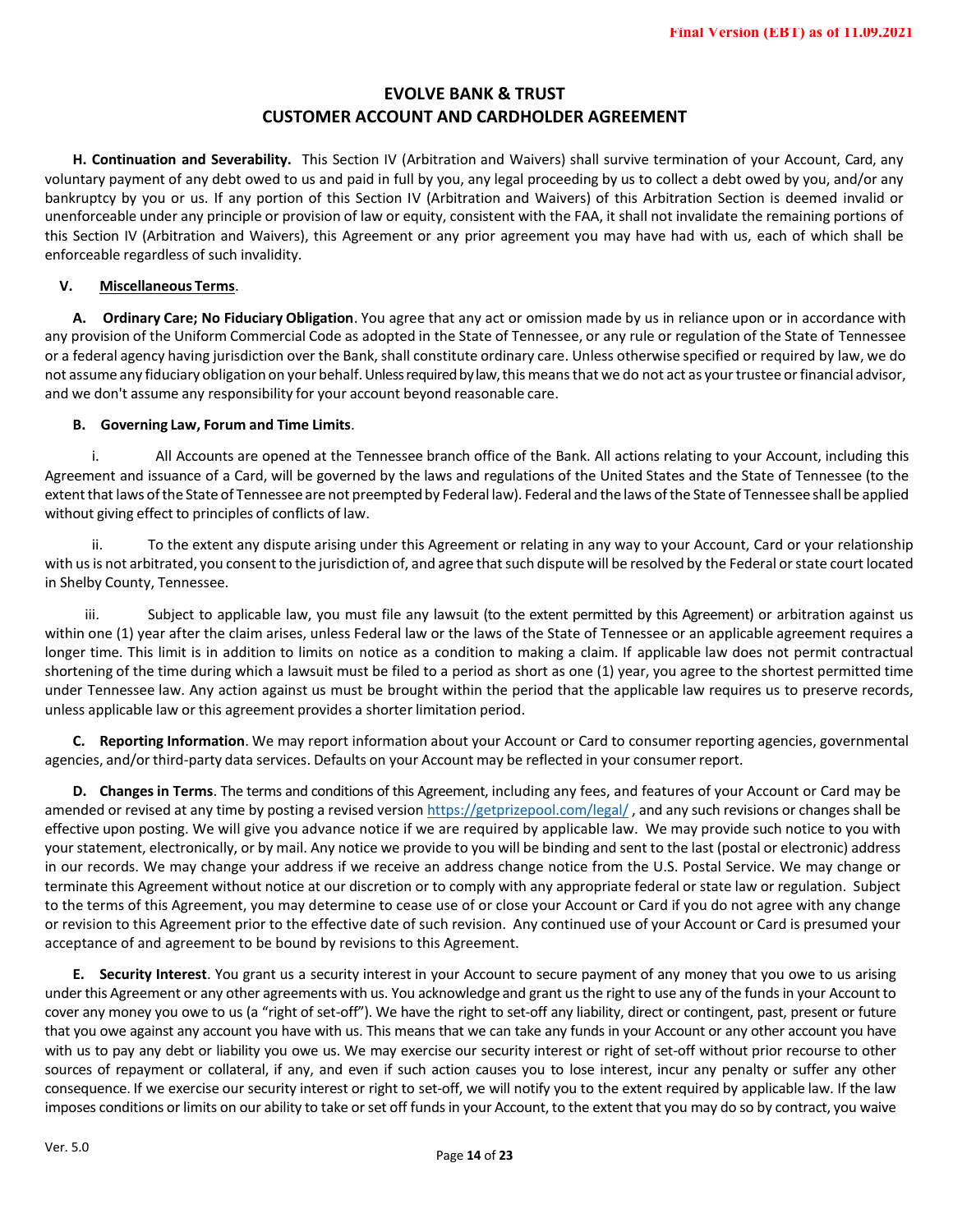**H. Continuation and Severability.** This Section IV (Arbitration and Waivers) shall survive termination of your Account, Card, any voluntary payment of any debt owed to us and paid in full by you, any legal proceeding by us to collect a debt owed by you, and/or any bankruptcy by you or us. If any portion of this Section IV (Arbitration and Waivers) of this Arbitration Section is deemed invalid or unenforceable under any principle or provision of law or equity, consistent with the FAA, it shall not invalidate the remaining portions of this Section IV (Arbitration and Waivers), this Agreement or any prior agreement you may have had with us, each of which shall be enforceable regardless of such invalidity.

### **V. Miscellaneous Terms**.

**A. Ordinary Care; No Fiduciary Obligation**. You agree that any act or omission made by us in reliance upon or in accordance with any provision of the Uniform Commercial Code as adopted in the State of Tennessee, or any rule or regulation of the State of Tennessee or a federal agency having jurisdiction over the Bank, shall constitute ordinary care. Unless otherwise specified or required by law, we do not assume any fiduciary obligation on your behalf. Unless required by law, this means that we do not act as your trustee or financial advisor, and we don't assume any responsibility for your account beyond reasonable care.

#### **B. Governing Law, Forum and Time Limits**.

i. All Accounts are opened at the Tennessee branch office of the Bank. All actions relating to your Account, including this Agreement and issuance of a Card, will be governed by the laws and regulations of the United States and the State of Tennessee (to the extent that laws of the State of Tennessee are not preempted by Federal law). Federal and the laws of the State of Tennessee shall be applied without giving effect to principles of conflicts of law.

ii. To the extent any dispute arising under this Agreement or relating in any way to your Account, Card or your relationship with us is not arbitrated, you consent to the jurisdiction of, and agree that such dispute will be resolved by the Federal or state court located in Shelby County, Tennessee.

iii. Subject to applicable law, you must file any lawsuit (to the extent permitted by this Agreement) or arbitration against us within one (1) year after the claim arises, unless Federal law or the laws of the State of Tennessee or an applicable agreement requires a longer time. This limit is in addition to limits on notice as a condition to making a claim. If applicable law does not permit contractual shortening of the time during which a lawsuit must be filed to a period as short as one (1) year, you agree to the shortest permitted time under Tennessee law. Any action against us must be brought within the period that the applicable law requires us to preserve records, unless applicable law or this agreement provides a shorter limitation period.

**C. Reporting Information**. We may report information about your Account or Card to consumer reporting agencies, governmental agencies, and/or third-party data services. Defaults on your Account may be reflected in your consumer report.

**D. Changes in Terms**. The terms and conditions of this Agreement, including any fees, and features of your Account or Card may be amended or revised at any time by posting a revised version https://getprizepool.com/legal/, and any such revisions or changes shall be effective upon posting. We will give you advance notice if we are required by applicable law. We may provide such notice to you with your statement, electronically, or by mail. Any notice we provide to you will be binding and sent to the last (postal or electronic) address in our records. We may change your address if we receive an address change notice from the U.S. Postal Service. We may change or terminate this Agreement without notice at our discretion or to comply with any appropriate federal or state law or regulation. Subject to the terms of this Agreement, you may determine to cease use of or close your Account or Card if you do not agree with any change or revision to this Agreement prior to the effective date of such revision. Any continued use of your Account or Card is presumed your acceptance of and agreement to be bound by revisions to this Agreement.

**E. Security Interest**. You grant us a security interest in your Account to secure payment of any money that you owe to us arising under this Agreement or any other agreements with us. You acknowledge and grant us the right to use any of the funds in your Account to cover any money you owe to us (a "right of set-off"). We have the right to set-off any liability, direct or contingent, past, present or future that you owe against any account you have with us. This means that we can take any funds in your Account or any other account you have with us to pay any debt or liability you owe us. We may exercise our security interest or right of set-off without prior recourse to other sources of repayment or collateral, if any, and even if such action causes you to lose interest, incur any penalty or suffer any other consequence. If we exercise our security interest or right to set-off, we will notify you to the extent required by applicable law. If the law imposes conditions or limits on our ability to take or set off funds in your Account, to the extent that you may do so by contract, you waive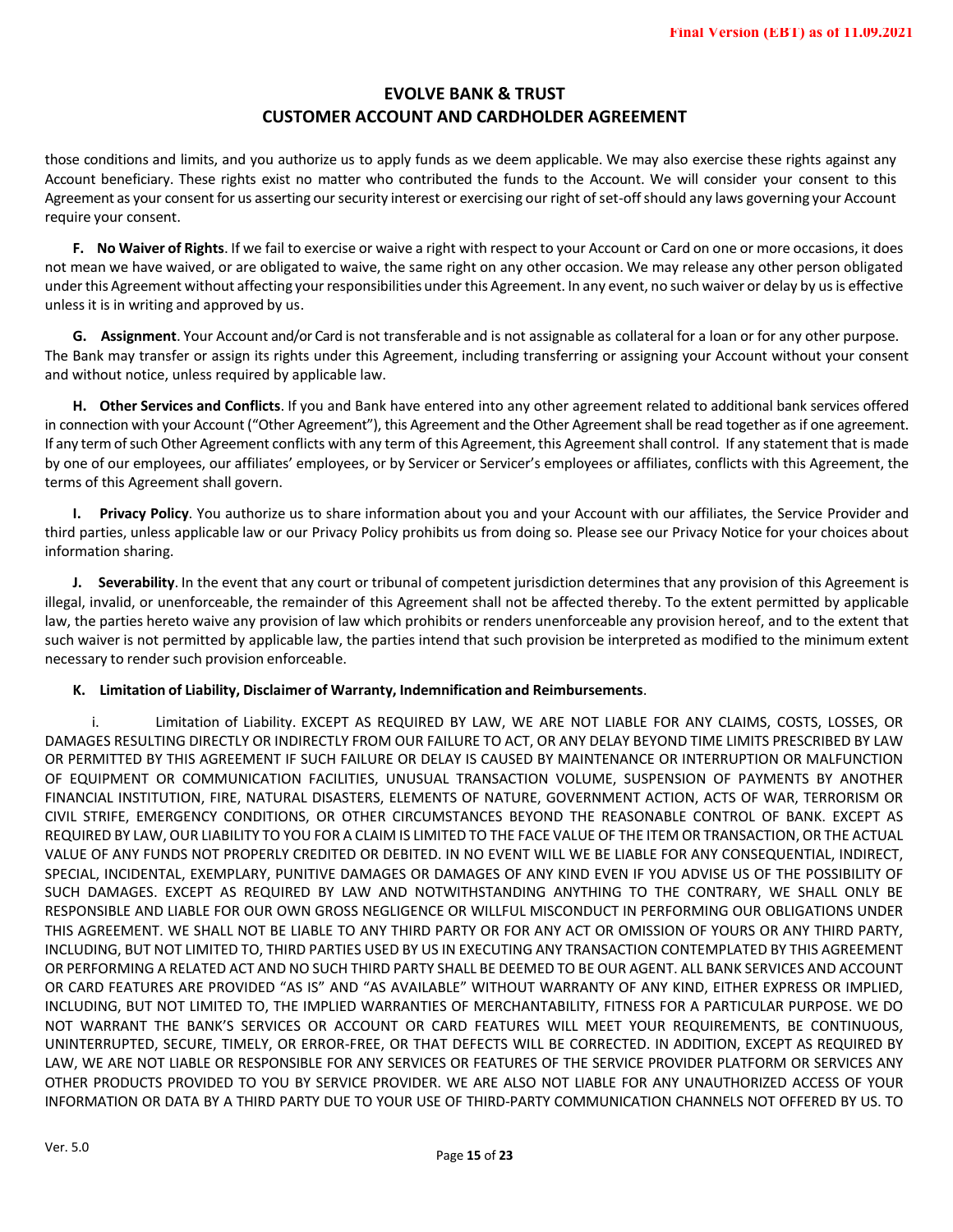those conditions and limits, and you authorize us to apply funds as we deem applicable. We may also exercise these rights against any Account beneficiary. These rights exist no matter who contributed the funds to the Account. We will consider your consent to this Agreement as your consent for us asserting our security interest or exercising our right of set-off should any laws governing your Account require your consent.

**F. No Waiver of Rights**. If we fail to exercise or waive a right with respect to your Account or Card on one or more occasions, it does not mean we have waived, or are obligated to waive, the same right on any other occasion. We may release any other person obligated under this Agreement without affecting your responsibilities under this Agreement. In any event, no such waiver or delay by us is effective unless it is in writing and approved by us.

**G. Assignment**. Your Account and/or Card is not transferable and is not assignable as collateral for a loan or for any other purpose. The Bank may transfer or assign its rights under this Agreement, including transferring or assigning your Account without your consent and without notice, unless required by applicable law.

**H. Other Services and Conflicts**. If you and Bank have entered into any other agreement related to additional bank services offered in connection with your Account ("Other Agreement"), this Agreement and the Other Agreement shall be read together as if one agreement. If any term of such Other Agreement conflicts with any term of this Agreement, this Agreement shall control. If any statement that is made by one of our employees, our affiliates' employees, or by Servicer or Servicer's employees or affiliates, conflicts with this Agreement, the terms of this Agreement shall govern.

**I. Privacy Policy**. You authorize us to share information about you and your Account with our affiliates, the Service Provider and third parties, unless applicable law or our Privacy Policy prohibits us from doing so. Please see our Privacy Notice for your choices about information sharing.

**J. Severability**. In the event that any court or tribunal of competent jurisdiction determines that any provision of this Agreement is illegal, invalid, or unenforceable, the remainder of this Agreement shall not be affected thereby. To the extent permitted by applicable law, the parties hereto waive any provision of law which prohibits or renders unenforceable any provision hereof, and to the extent that such waiver is not permitted by applicable law, the parties intend that such provision be interpreted as modified to the minimum extent necessary to render such provision enforceable.

#### **K. Limitation of Liability, Disclaimer of Warranty, Indemnification and Reimbursements**.

i. Limitation of Liability. EXCEPT AS REQUIRED BY LAW, WE ARE NOT LIABLE FOR ANY CLAIMS, COSTS, LOSSES, OR DAMAGES RESULTING DIRECTLY OR INDIRECTLY FROM OUR FAILURE TO ACT, OR ANY DELAY BEYOND TIME LIMITS PRESCRIBED BY LAW OR PERMITTED BY THIS AGREEMENT IF SUCH FAILURE OR DELAY IS CAUSED BY MAINTENANCE OR INTERRUPTION OR MALFUNCTION OF EQUIPMENT OR COMMUNICATION FACILITIES, UNUSUAL TRANSACTION VOLUME, SUSPENSION OF PAYMENTS BY ANOTHER FINANCIAL INSTITUTION, FIRE, NATURAL DISASTERS, ELEMENTS OF NATURE, GOVERNMENT ACTION, ACTS OF WAR, TERRORISM OR CIVIL STRIFE, EMERGENCY CONDITIONS, OR OTHER CIRCUMSTANCES BEYOND THE REASONABLE CONTROL OF BANK. EXCEPT AS REQUIRED BY LAW, OUR LIABILITY TO YOU FOR A CLAIM IS LIMITED TO THE FACE VALUE OF THE ITEM OR TRANSACTION, OR THE ACTUAL VALUE OF ANY FUNDS NOT PROPERLY CREDITED OR DEBITED. IN NO EVENT WILL WE BE LIABLE FOR ANY CONSEQUENTIAL, INDIRECT, SPECIAL, INCIDENTAL, EXEMPLARY, PUNITIVE DAMAGES OR DAMAGES OF ANY KIND EVEN IF YOU ADVISE US OF THE POSSIBILITY OF SUCH DAMAGES. EXCEPT AS REQUIRED BY LAW AND NOTWITHSTANDING ANYTHING TO THE CONTRARY, WE SHALL ONLY BE RESPONSIBLE AND LIABLE FOR OUR OWN GROSS NEGLIGENCE OR WILLFUL MISCONDUCT IN PERFORMING OUR OBLIGATIONS UNDER THIS AGREEMENT. WE SHALL NOT BE LIABLE TO ANY THIRD PARTY OR FOR ANY ACT OR OMISSION OF YOURS OR ANY THIRD PARTY, INCLUDING, BUT NOT LIMITED TO, THIRD PARTIES USED BY US IN EXECUTING ANY TRANSACTION CONTEMPLATED BY THIS AGREEMENT OR PERFORMING A RELATED ACT AND NO SUCH THIRD PARTY SHALL BE DEEMED TO BE OUR AGENT. ALL BANK SERVICES AND ACCOUNT OR CARD FEATURES ARE PROVIDED "AS IS" AND "AS AVAILABLE" WITHOUT WARRANTY OF ANY KIND, EITHER EXPRESS OR IMPLIED, INCLUDING, BUT NOT LIMITED TO, THE IMPLIED WARRANTIES OF MERCHANTABILITY, FITNESS FOR A PARTICULAR PURPOSE. WE DO NOT WARRANT THE BANK'S SERVICES OR ACCOUNT OR CARD FEATURES WILL MEET YOUR REQUIREMENTS, BE CONTINUOUS, UNINTERRUPTED, SECURE, TIMELY, OR ERROR-FREE, OR THAT DEFECTS WILL BE CORRECTED. IN ADDITION, EXCEPT AS REQUIRED BY LAW, WE ARE NOT LIABLE OR RESPONSIBLE FOR ANY SERVICES OR FEATURES OF THE SERVICE PROVIDER PLATFORM OR SERVICES ANY OTHER PRODUCTS PROVIDED TO YOU BY SERVICE PROVIDER. WE ARE ALSO NOT LIABLE FOR ANY UNAUTHORIZED ACCESS OF YOUR INFORMATION OR DATA BY A THIRD PARTY DUE TO YOUR USE OF THIRD-PARTY COMMUNICATION CHANNELS NOT OFFERED BY US. TO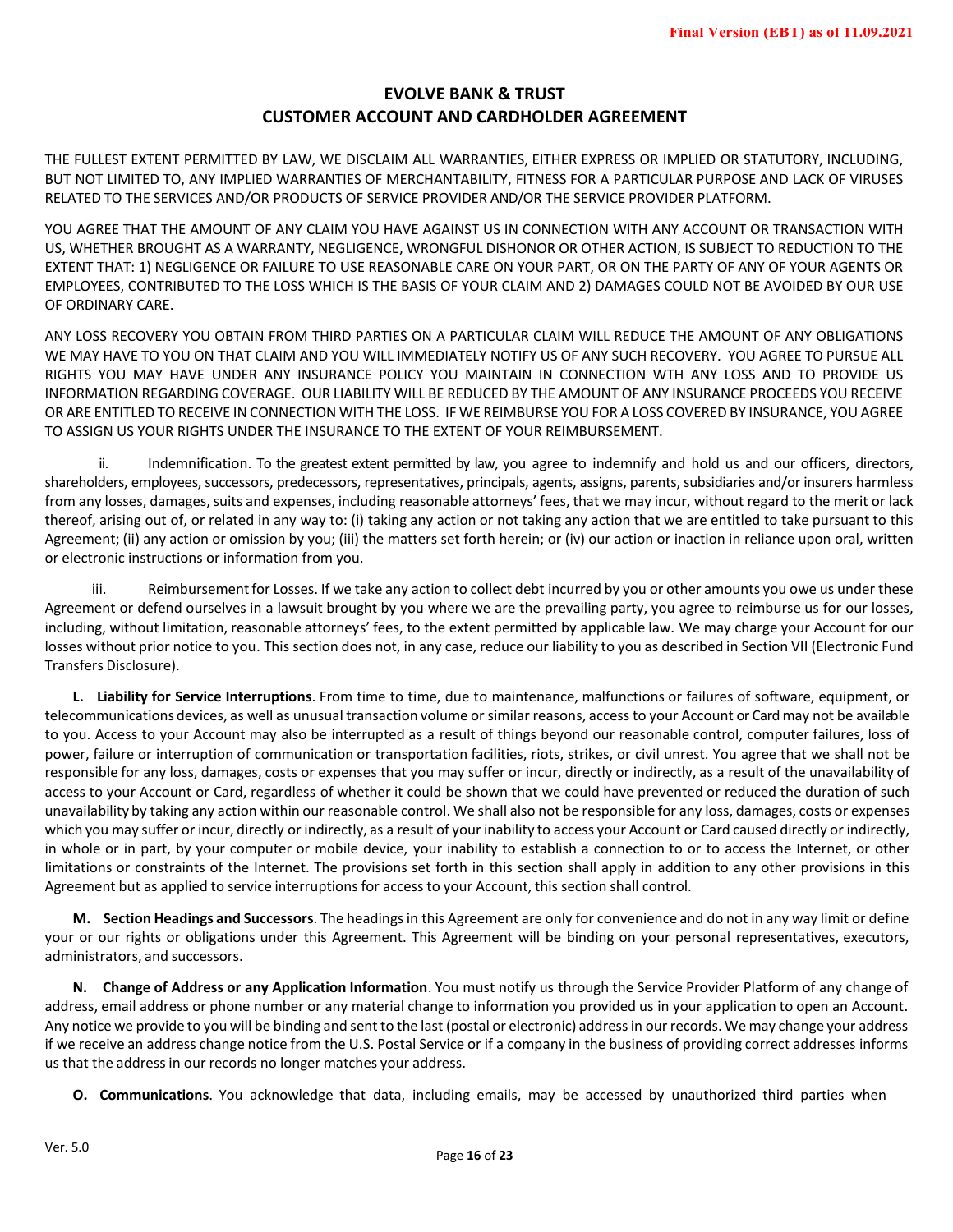THE FULLEST EXTENT PERMITTED BY LAW, WE DISCLAIM ALL WARRANTIES, EITHER EXPRESS OR IMPLIED OR STATUTORY, INCLUDING, BUT NOT LIMITED TO, ANY IMPLIED WARRANTIES OF MERCHANTABILITY, FITNESS FOR A PARTICULAR PURPOSE AND LACK OF VIRUSES RELATED TO THE SERVICES AND/OR PRODUCTS OF SERVICE PROVIDER AND/OR THE SERVICE PROVIDER PLATFORM.

YOU AGREE THAT THE AMOUNT OF ANY CLAIM YOU HAVE AGAINST US IN CONNECTION WITH ANY ACCOUNT OR TRANSACTION WITH US, WHETHER BROUGHT AS A WARRANTY, NEGLIGENCE, WRONGFUL DISHONOR OR OTHER ACTION, IS SUBJECT TO REDUCTION TO THE EXTENT THAT: 1) NEGLIGENCE OR FAILURE TO USE REASONABLE CARE ON YOUR PART, OR ON THE PARTY OF ANY OF YOUR AGENTS OR EMPLOYEES, CONTRIBUTED TO THE LOSS WHICH IS THE BASIS OF YOUR CLAIM AND 2) DAMAGES COULD NOT BE AVOIDED BY OUR USE OF ORDINARY CARE.

ANY LOSS RECOVERY YOU OBTAIN FROM THIRD PARTIES ON A PARTICULAR CLAIM WILL REDUCE THE AMOUNT OF ANY OBLIGATIONS WE MAY HAVE TO YOU ON THAT CLAIM AND YOU WILL IMMEDIATELY NOTIFY US OF ANY SUCH RECOVERY. YOU AGREE TO PURSUE ALL RIGHTS YOU MAY HAVE UNDER ANY INSURANCE POLICY YOU MAINTAIN IN CONNECTION WTH ANY LOSS AND TO PROVIDE US INFORMATION REGARDING COVERAGE. OUR LIABILITY WILL BE REDUCED BY THE AMOUNT OF ANY INSURANCE PROCEEDS YOU RECEIVE OR ARE ENTITLED TO RECEIVE IN CONNECTION WITH THE LOSS. IF WE REIMBURSE YOU FOR A LOSS COVERED BY INSURANCE, YOU AGREE TO ASSIGN US YOUR RIGHTS UNDER THE INSURANCE TO THE EXTENT OF YOUR REIMBURSEMENT.

ii. Indemnification. To the greatest extent permitted by law, you agree to indemnify and hold us and our officers, directors, shareholders, employees, successors, predecessors, representatives, principals, agents, assigns, parents, subsidiaries and/or insurers harmless from any losses, damages, suits and expenses, including reasonable attorneys' fees, that we may incur, without regard to the merit or lack thereof, arising out of, or related in any way to: (i) taking any action or not taking any action that we are entitled to take pursuant to this Agreement; (ii) any action or omission by you; (iii) the matters set forth herein; or (iv) our action or inaction in reliance upon oral, written or electronic instructions or information from you.

iii. Reimbursement for Losses. If we take any action to collect debt incurred by you or other amounts you owe us under these Agreement or defend ourselves in a lawsuit brought by you where we are the prevailing party, you agree to reimburse us for our losses, including, without limitation, reasonable attorneys' fees, to the extent permitted by applicable law. We may charge your Account for our losses without prior notice to you. This section does not, in any case, reduce our liability to you as described in Section VII (Electronic Fund Transfers Disclosure).

**L. Liability for Service Interruptions**. From time to time, due to maintenance, malfunctions or failures of software, equipment, or telecommunications devices, as well as unusual transaction volume or similar reasons, accessto your Account or Card may not be available to you. Access to your Account may also be interrupted as a result of things beyond our reasonable control, computer failures, loss of power, failure or interruption of communication or transportation facilities, riots, strikes, or civil unrest. You agree that we shall not be responsible for any loss, damages, costs or expenses that you may suffer or incur, directly or indirectly, as a result of the unavailability of access to your Account or Card, regardless of whether it could be shown that we could have prevented or reduced the duration of such unavailability by taking any action within our reasonable control. We shall also not be responsible for any loss, damages, costs or expenses which you may suffer or incur, directly or indirectly, as a result of your inability to access your Account or Card caused directly or indirectly, in whole or in part, by your computer or mobile device, your inability to establish a connection to or to access the Internet, or other limitations or constraints of the Internet. The provisions set forth in this section shall apply in addition to any other provisions in this Agreement but as applied to service interruptions for access to your Account, this section shall control.

**M. Section Headings and Successors**. The headingsin this Agreement are only for convenience and do not in any way limit or define your or our rights or obligations under this Agreement. This Agreement will be binding on your personal representatives, executors, administrators, and successors.

**N. Change of Address or any Application Information**. You must notify us through the Service Provider Platform of any change of address, email address or phone number or any material change to information you provided us in your application to open an Account. Any notice we provide to you will be binding and sent to the last (postal or electronic) address in our records. We may change your address if we receive an address change notice from the U.S. Postal Service or if a company in the business of providing correct addresses informs us that the address in our records no longer matches your address.

**O. Communications**. You acknowledge that data, including emails, may be accessed by unauthorized third parties when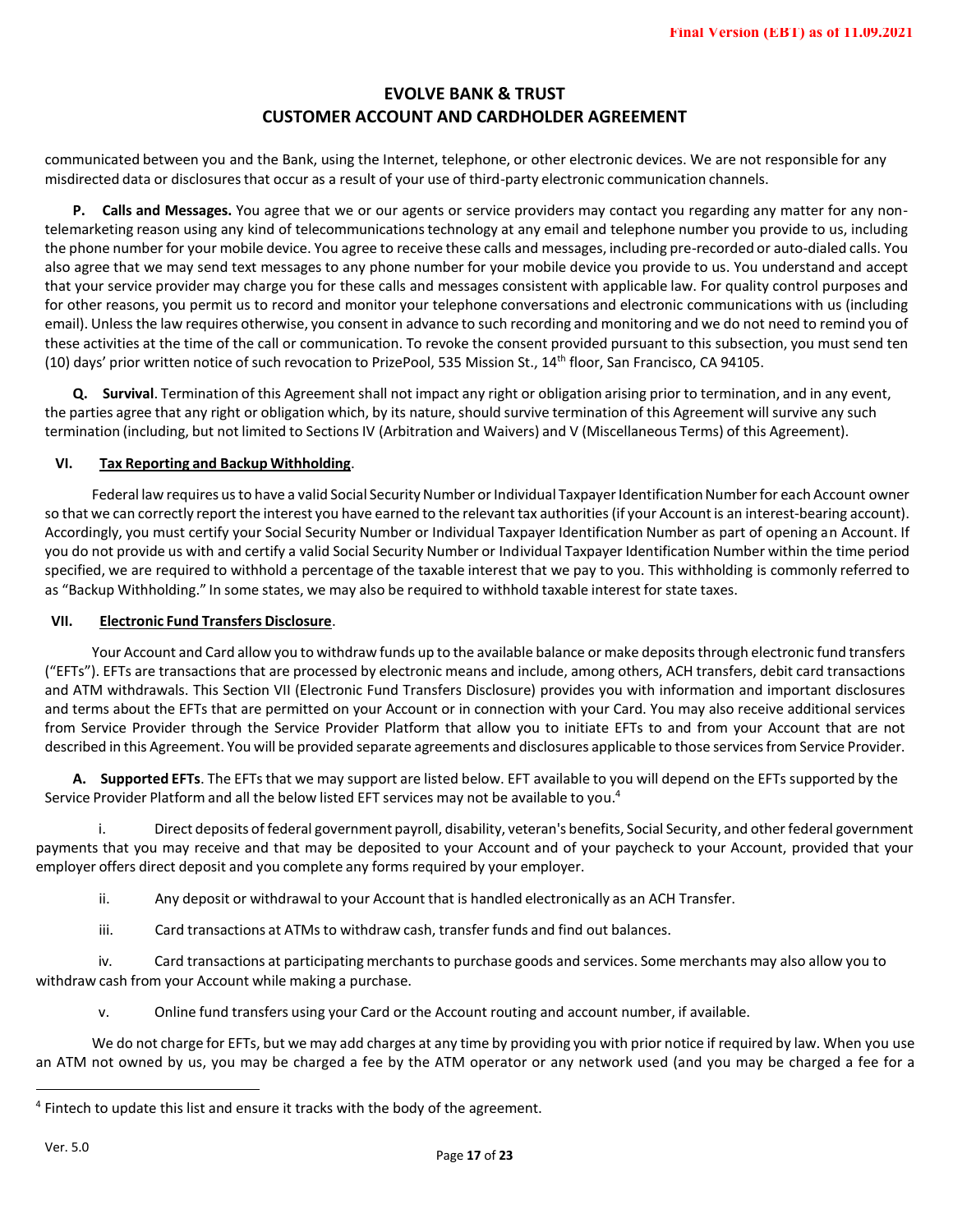communicated between you and the Bank, using the Internet, telephone, or other electronic devices. We are not responsible for any misdirected data or disclosuresthat occur as a result of your use of third-party electronic communication channels.

**P. Calls and Messages.** You agree that we or our agents or service providers may contact you regarding any matter for any nontelemarketing reason using any kind of telecommunicationstechnology at any email and telephone number you provide to us, including the phone number for your mobile device. You agree to receive these calls and messages, including pre-recorded or auto-dialed calls. You also agree that we may send text messages to any phone number for your mobile device you provide to us. You understand and accept that your service provider may charge you for these calls and messages consistent with applicable law. For quality control purposes and for other reasons, you permit us to record and monitor your telephone conversations and electronic communications with us (including email). Unlessthe law requires otherwise, you consent in advance to such recording and monitoring and we do not need to remind you of these activities at the time of the call or communication. To revoke the consent provided pursuant to this subsection, you must send ten (10) days' prior written notice of such revocation to PrizePool, 535 Mission St.,  $14<sup>th</sup>$  floor, San Francisco, CA 94105.

**Q. Survival**. Termination of this Agreement shall not impact any right or obligation arising prior to termination, and in any event, the parties agree that any right or obligation which, by its nature, should survive termination of this Agreement will survive any such termination (including, but not limited to Sections IV (Arbitration and Waivers) and V (Miscellaneous Terms) of this Agreement).

### **VI. Tax Reporting and Backup Withholding**.

Federal law requires us to have a valid Social Security Number or Individual Taxpayer Identification Number for each Account owner so that we can correctly report the interest you have earned to the relevant tax authorities (if your Account is an interest-bearing account). Accordingly, you must certify your Social Security Number or Individual Taxpayer Identification Number as part of opening an Account. If you do not provide us with and certify a valid Social Security Number or Individual Taxpayer Identification Number within the time period specified, we are required to withhold a percentage of the taxable interest that we pay to you. This withholding is commonly referred to as "Backup Withholding." In some states, we may also be required to withhold taxable interest for state taxes.

#### **VII. Electronic Fund Transfers Disclosure**.

Your Account and Card allow you to withdraw funds up to the available balance or make deposits through electronic fund transfers ("EFTs"). EFTs are transactions that are processed by electronic means and include, among others, ACH transfers, debit card transactions and ATM withdrawals. This Section VII (Electronic Fund Transfers Disclosure) provides you with information and important disclosures and terms about the EFTs that are permitted on your Account or in connection with your Card. You may also receive additional services from Service Provider through the Service Provider Platform that allow you to initiate EFTs to and from your Account that are not described in this Agreement. You will be provided separate agreements and disclosures applicable to those services from Service Provider.

**A. Supported EFTs**. The EFTsthat we may support are listed below. EFT available to you will depend on the EFTs supported by the Service Provider Platform and all the below listed EFT services may not be available to you.<sup>4</sup>

i. Direct deposits of federal government payroll, disability, veteran's benefits, Social Security, and otherfederal government payments that you may receive and that may be deposited to your Account and of your paycheck to your Account, provided that your employer offers direct deposit and you complete any forms required by your employer.

ii. Any deposit or withdrawal to your Account that is handled electronically as an ACH Transfer.

iii. Card transactions at ATMs to withdraw cash, transfer funds and find out balances.

iv. Card transactions at participating merchants to purchase goods and services. Some merchants may also allow you to withdraw cash from your Account while making a purchase.

v. Online fund transfers using your Card or the Account routing and account number, if available.

We do not charge for EFTs, but we may add charges at any time by providing you with prior notice if required by law. When you use an ATM not owned by us, you may be charged a fee by the ATM operator or any network used (and you may be charged a fee for a

<sup>&</sup>lt;sup>4</sup> Fintech to update this list and ensure it tracks with the body of the agreement.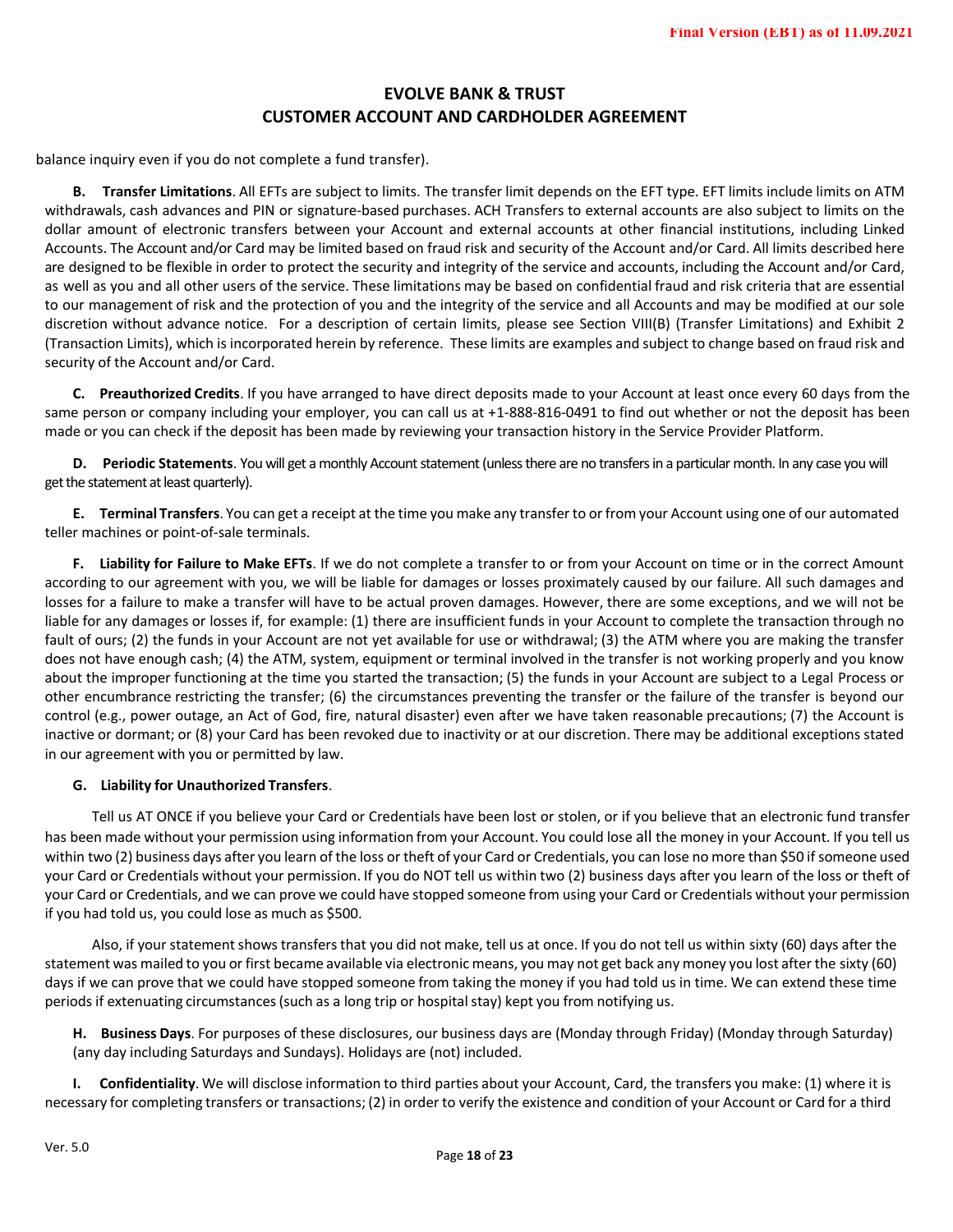balance inquiry even if you do not complete a fund transfer).

**B. Transfer Limitations**. All EFTs are subject to limits. The transfer limit depends on the EFT type. EFT limits include limits on ATM withdrawals, cash advances and PIN or signature-based purchases. ACH Transfers to external accounts are also subject to limits on the dollar amount of electronic transfers between your Account and external accounts at other financial institutions, including Linked Accounts. The Account and/or Card may be limited based on fraud risk and security of the Account and/or Card. All limits described here are designed to be flexible in order to protect the security and integrity of the service and accounts, including the Account and/or Card, as well as you and all other users of the service. These limitations may be based on confidential fraud and risk criteria that are essential to our management of risk and the protection of you and the integrity of the service and all Accounts and may be modified at our sole discretion without advance notice. For a description of certain limits, please see Section VIII(B) (Transfer Limitations) and Exhibit 2 (Transaction Limits), which is incorporated herein by reference. These limits are examples and subject to change based on fraud risk and security of the Account and/or Card.

**C. Preauthorized Credits**. If you have arranged to have direct deposits made to your Account at least once every 60 days from the same person or company including your employer, you can call us at +1-888-816-0491 to find out whether or not the deposit has been made or you can check if the deposit has been made by reviewing your transaction history in the Service Provider Platform.

**D. Periodic Statements**. You will get a monthly Account statement (unless there are no transfersin a particular month. In any case you will get the statement at least quarterly).

**E. Terminal Transfers**. You can get a receipt at the time you make any transfer to or from your Account using one of our automated teller machines or point-of-sale terminals.

**F. Liability for Failure to Make EFTs**. If we do not complete a transfer to or from your Account on time or in the correct Amount according to our agreement with you, we will be liable for damages or losses proximately caused by our failure. All such damages and losses for a failure to make a transfer will have to be actual proven damages. However, there are some exceptions, and we will not be liable for any damages or losses if, for example: (1) there are insufficient funds in your Account to complete the transaction through no fault of ours; (2) the funds in your Account are not yet available for use or withdrawal; (3) the ATM where you are making the transfer does not have enough cash; (4) the ATM, system, equipment or terminal involved in the transfer is not working properly and you know about the improper functioning at the time you started the transaction; (5) the funds in your Account are subject to a Legal Process or other encumbrance restricting the transfer; (6) the circumstances preventing the transfer or the failure of the transfer is beyond our control (e.g., power outage, an Act of God, fire, natural disaster) even after we have taken reasonable precautions; (7) the Account is inactive or dormant; or (8) your Card has been revoked due to inactivity or at our discretion. There may be additional exceptions stated in our agreement with you or permitted by law.

#### **G. Liability for Unauthorized Transfers**.

Tell us AT ONCE if you believe your Card or Credentials have been lost or stolen, or if you believe that an electronic fund transfer has been made without your permission using information from your Account. You could lose all the money in your Account. If you tell us within two (2) business days after you learn of the loss or theft of your Card or Credentials, you can lose no more than \$50 if someone used your Card or Credentials without your permission. If you do NOT tell us within two (2) business days after you learn of the loss or theft of your Card or Credentials, and we can prove we could have stopped someone from using your Card or Credentials without your permission if you had told us, you could lose as much as \$500.

Also, if your statement shows transfers that you did not make, tell us at once. If you do not tell us within sixty (60) days after the statement was mailed to you or first became available via electronic means, you may not get back any money you lost after the sixty (60) days if we can prove that we could have stopped someone from taking the money if you had told us in time. We can extend these time periods if extenuating circumstances (such as a long trip or hospital stay) kept you from notifying us.

**H. Business Days**. For purposes of these disclosures, our business days are (Monday through Friday) (Monday through Saturday) (any day including Saturdays and Sundays). Holidays are (not) included.

**I. Confidentiality**. We will disclose information to third parties about your Account, Card, the transfers you make: (1) where it is necessary for completing transfers or transactions; (2) in order to verify the existence and condition of your Account or Card for a third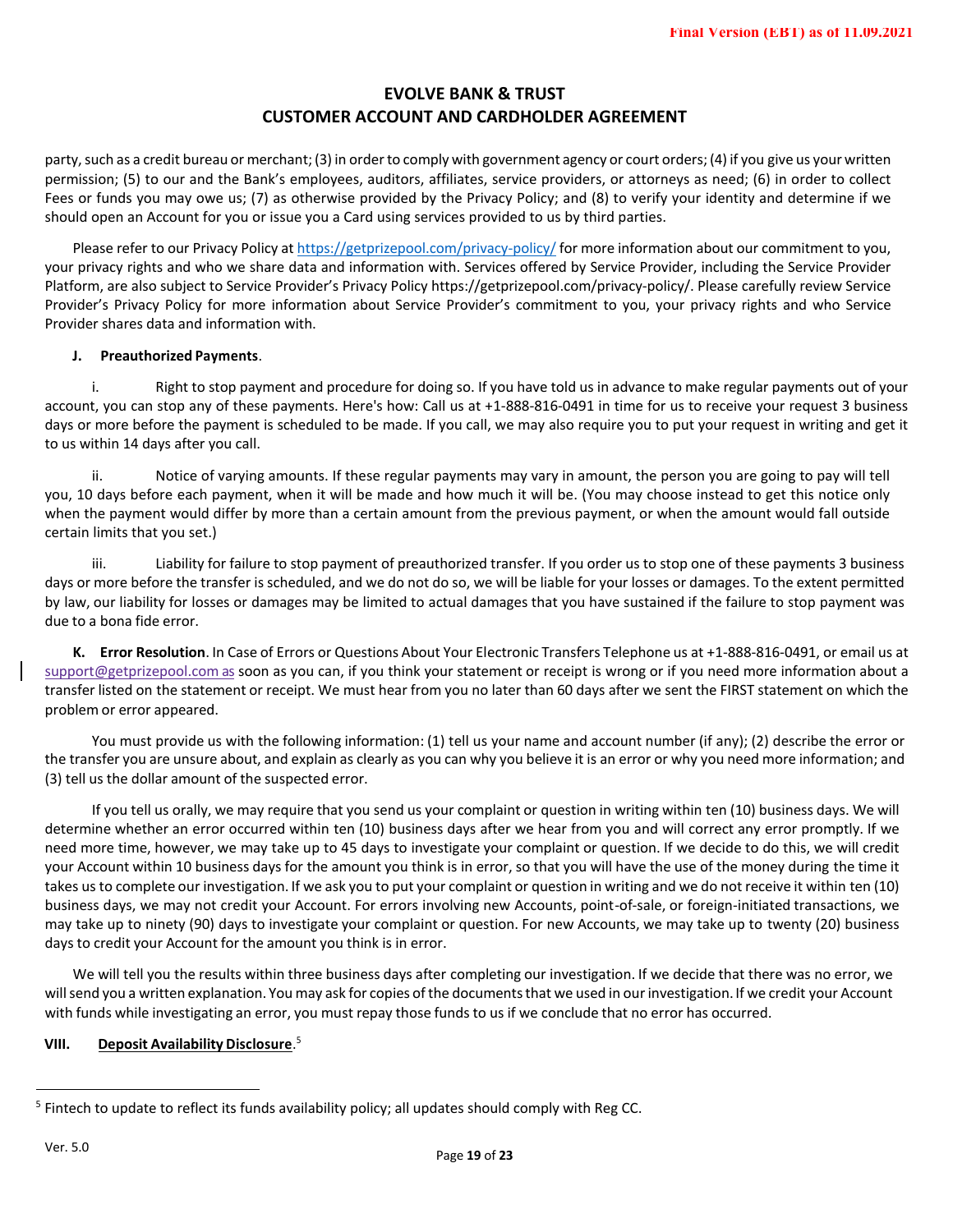party, such as a credit bureau or merchant; (3) in order to comply with government agency or court orders; (4) if you give us your written permission; (5) to our and the Bank's employees, auditors, affiliates, service providers, or attorneys as need; (6) in order to collect Fees or funds you may owe us; (7) as otherwise provided by the Privacy Policy; and (8) to verify your identity and determine if we should open an Account for you or issue you a Card using services provided to us by third parties.

Please refer to our Privacy Policy at https://getprizepool.com/privacy-policy/ for more information about our commitment to you, your privacy rights and who we share data and information with. Services offered by Service Provider, including the Service Provider Platform, are also subject to Service Provider's Privacy Policy https://getprizepool.com/privacy-policy/. Please carefully review Service Provider's Privacy Policy for more information about Service Provider's commitment to you, your privacy rights and who Service Provider shares data and information with.

### **J. Preauthorized Payments**.

i. Right to stop payment and procedure for doing so. If you have told us in advance to make regular payments out of your account, you can stop any of these payments. Here's how: Call us at +1-888-816-0491 in time for us to receive your request 3 business days or more before the payment is scheduled to be made. If you call, we may also require you to put your request in writing and get it to us within 14 days after you call.

ii. Notice of varying amounts. If these regular payments may vary in amount, the person you are going to pay will tell you, 10 days before each payment, when it will be made and how much it will be. (You may choose instead to get this notice only when the payment would differ by more than a certain amount from the previous payment, or when the amount would fall outside certain limits that you set.)

iii. Liability for failure to stop payment of preauthorized transfer. If you order us to stop one of these payments 3 business days or more before the transfer is scheduled, and we do not do so, we will be liable for your losses or damages. To the extent permitted by law, our liability for losses or damages may be limited to actual damages that you have sustained if the failure to stop payment was due to a bona fide error.

**K. Error Resolution**. In Case of Errors or Questions About Your Electronic Transfers Telephone us at +1-888-816-0491, or email us at support@getprizepool.com as soon as you can, if you think your statement or receipt is wrong or if you need more information about a transfer listed on the statement or receipt. We must hear from you no later than 60 days after we sent the FIRST statement on which the problem or error appeared.

You must provide us with the following information: (1) tell us your name and account number (if any); (2) describe the error or the transfer you are unsure about, and explain as clearly as you can why you believe it is an error or why you need more information; and (3) tell us the dollar amount of the suspected error.

If you tell us orally, we may require that you send us your complaint or question in writing within ten (10) business days. We will determine whether an error occurred within ten (10) business days after we hear from you and will correct any error promptly. If we need more time, however, we may take up to 45 days to investigate your complaint or question. If we decide to do this, we will credit your Account within 10 business days for the amount you think is in error, so that you will have the use of the money during the time it takes us to complete our investigation. If we ask you to put your complaint or question in writing and we do not receive it within ten (10) business days, we may not credit your Account. For errors involving new Accounts, point-of-sale, or foreign-initiated transactions, we may take up to ninety (90) days to investigate your complaint or question. For new Accounts, we may take up to twenty (20) business days to credit your Account for the amount you think is in error.

We will tell you the results within three business days after completing our investigation. If we decide that there was no error, we will send you a written explanation. You may ask for copies of the documents that we used in our investigation. If we credit your Account with funds while investigating an error, you must repay those fundsto us if we conclude that no error has occurred.

### **VIII. Deposit Availability Disclosure**. 5

<sup>&</sup>lt;sup>5</sup> Fintech to update to reflect its funds availability policy; all updates should comply with Reg CC.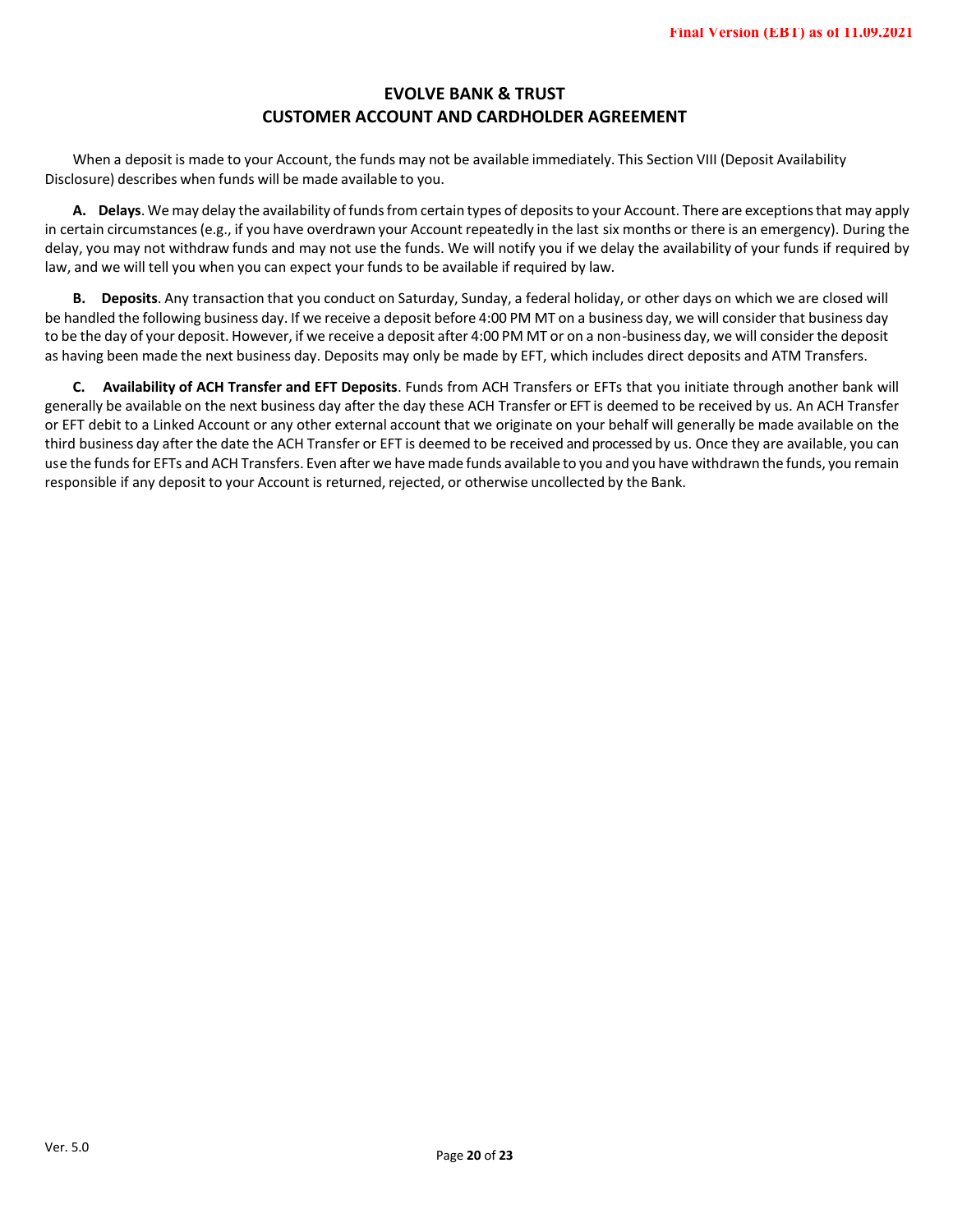When a deposit is made to your Account, the funds may not be available immediately. This Section VIII (Deposit Availability Disclosure) describes when funds will be made available to you.

**A. Delays**. We may delay the availability of fundsfrom certain types of depositsto your Account. There are exceptionsthat may apply in certain circumstances(e.g., if you have overdrawn your Account repeatedly in the last six months or there is an emergency). During the delay, you may not withdraw funds and may not use the funds. We will notify you if we delay the availability of your funds if required by law, and we will tell you when you can expect your funds to be available if required by law.

**B. Deposits**. Any transaction that you conduct on Saturday, Sunday, a federal holiday, or other days on which we are closed will be handled the following business day. If we receive a deposit before 4:00 PM MT on a business day, we will considerthat business day to be the day of your deposit. However, if we receive a deposit after 4:00 PM MT or on a non-business day, we will consider the deposit as having been made the next business day. Deposits may only be made by EFT, which includes direct deposits and ATM Transfers.

**C. Availability of ACH Transfer and EFT Deposits**. Funds from ACH Transfers or EFTs that you initiate through another bank will generally be available on the next business day after the day these ACH Transfer or EFT is deemed to be received by us. An ACH Transfer or EFT debit to a Linked Account or any other external account that we originate on your behalf will generally be made available on the third business day after the date the ACH Transfer or EFT is deemed to be received and processed by us. Once they are available, you can use the funds for EFTs and ACH Transfers. Even after we have made funds available to you and you have withdrawn the funds, you remain responsible if any deposit to your Account is returned, rejected, or otherwise uncollected by the Bank.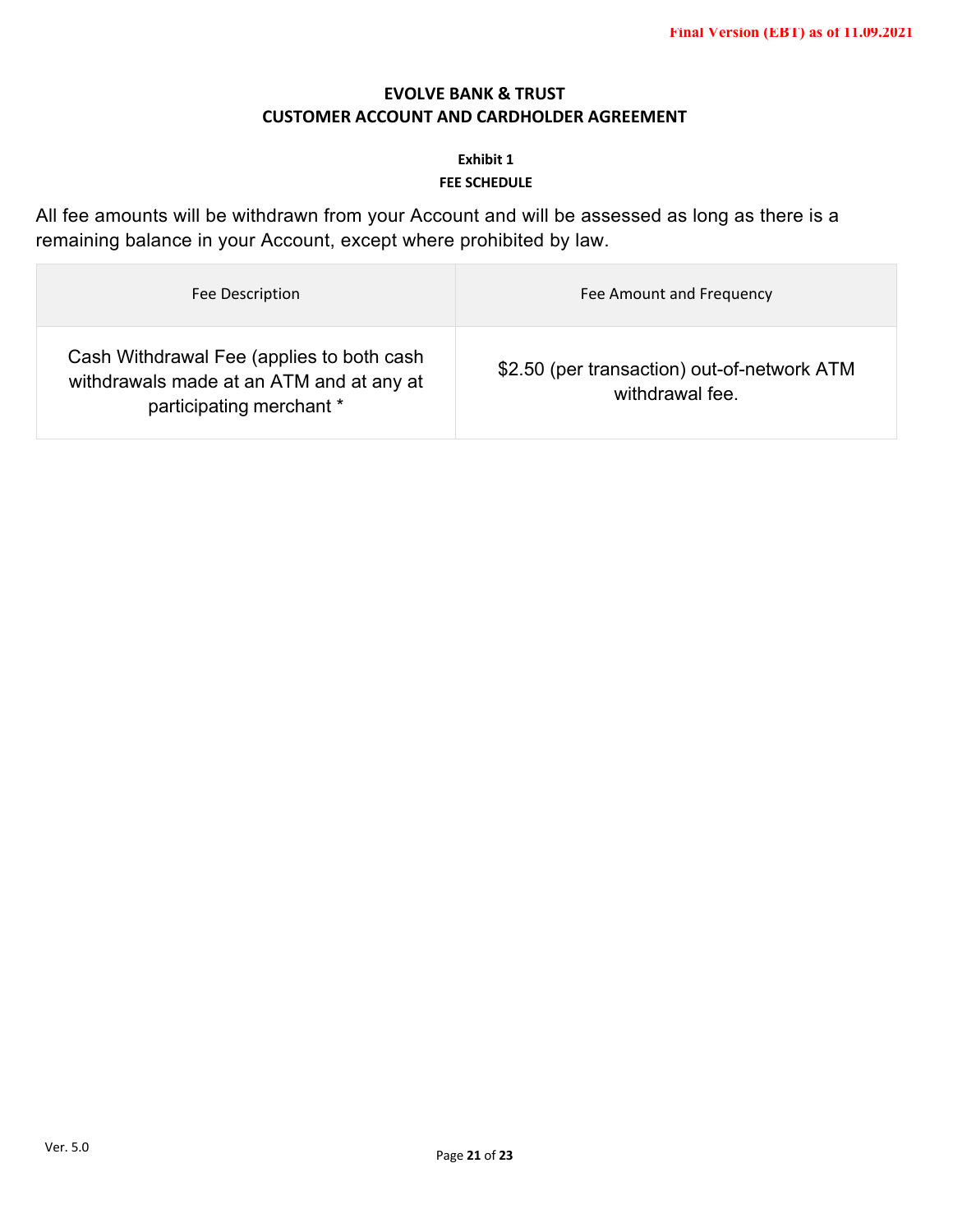### **Exhibit 1 FEE SCHEDULE**

All fee amounts will be withdrawn from your Account and will be assessed as long as there is a remaining balance in your Account, except where prohibited by law.

| Fee Description                                                                                                   | Fee Amount and Frequency                                       |
|-------------------------------------------------------------------------------------------------------------------|----------------------------------------------------------------|
| Cash Withdrawal Fee (applies to both cash<br>withdrawals made at an ATM and at any at<br>participating merchant * | \$2.50 (per transaction) out-of-network ATM<br>withdrawal fee. |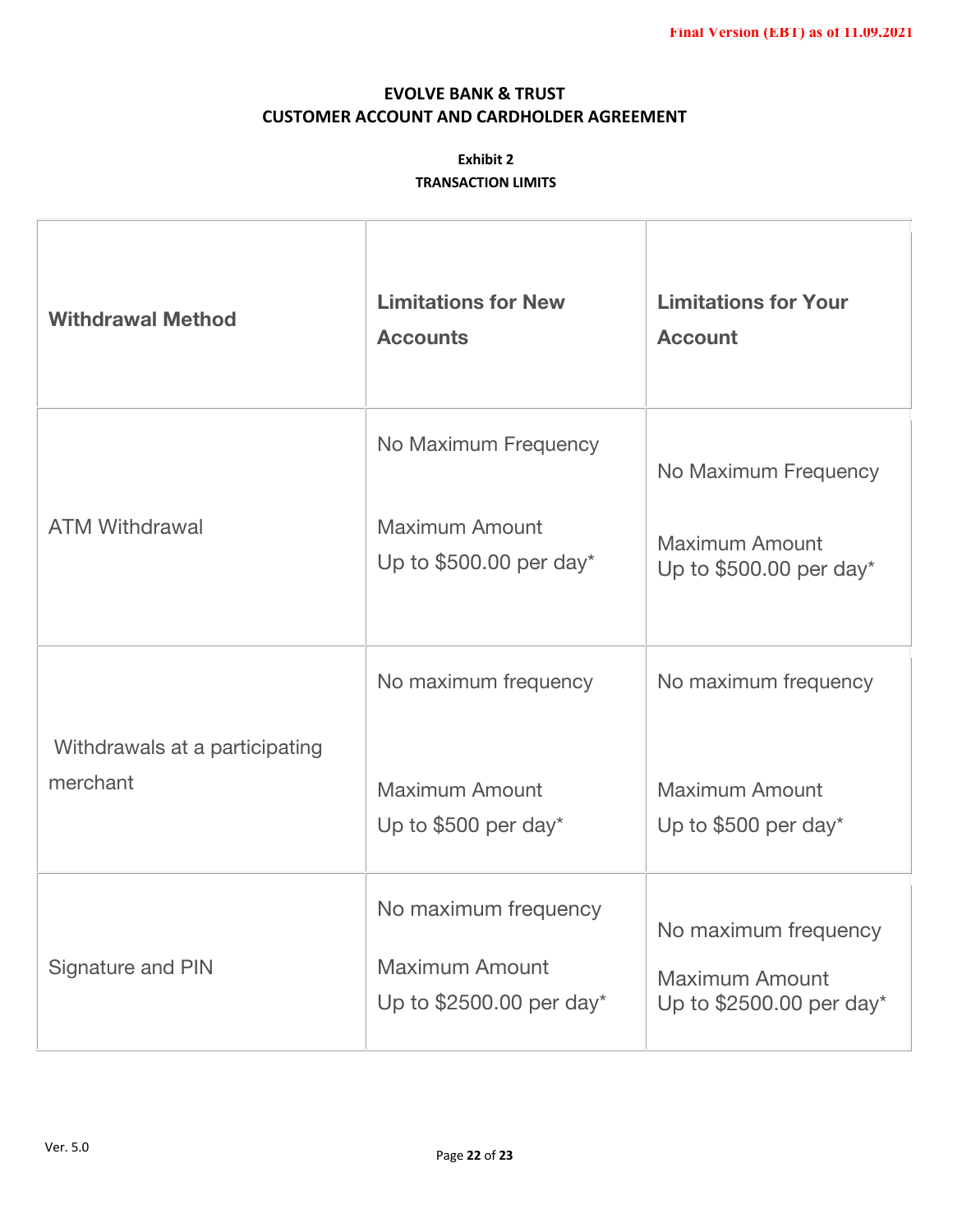### **Exhibit 2**

### **TRANSACTION LIMITS**

| <b>Withdrawal Method</b>                   | <b>Limitations for New</b><br><b>Accounts</b>                              | <b>Limitations for Your</b><br><b>Account</b>                             |
|--------------------------------------------|----------------------------------------------------------------------------|---------------------------------------------------------------------------|
| <b>ATM Withdrawal</b>                      | No Maximum Frequency<br><b>Maximum Amount</b><br>Up to $$500.00$ per day*  | No Maximum Frequency<br><b>Maximum Amount</b><br>Up to $$500.00$ per day* |
| Withdrawals at a participating<br>merchant | No maximum frequency<br><b>Maximum Amount</b><br>Up to \$500 per day*      | No maximum frequency<br><b>Maximum Amount</b><br>Up to $$500$ per day*    |
| Signature and PIN                          | No maximum frequency<br><b>Maximum Amount</b><br>Up to $$2500.00$ per day* | No maximum frequency<br><b>Maximum Amount</b><br>Up to \$2500.00 per day* |